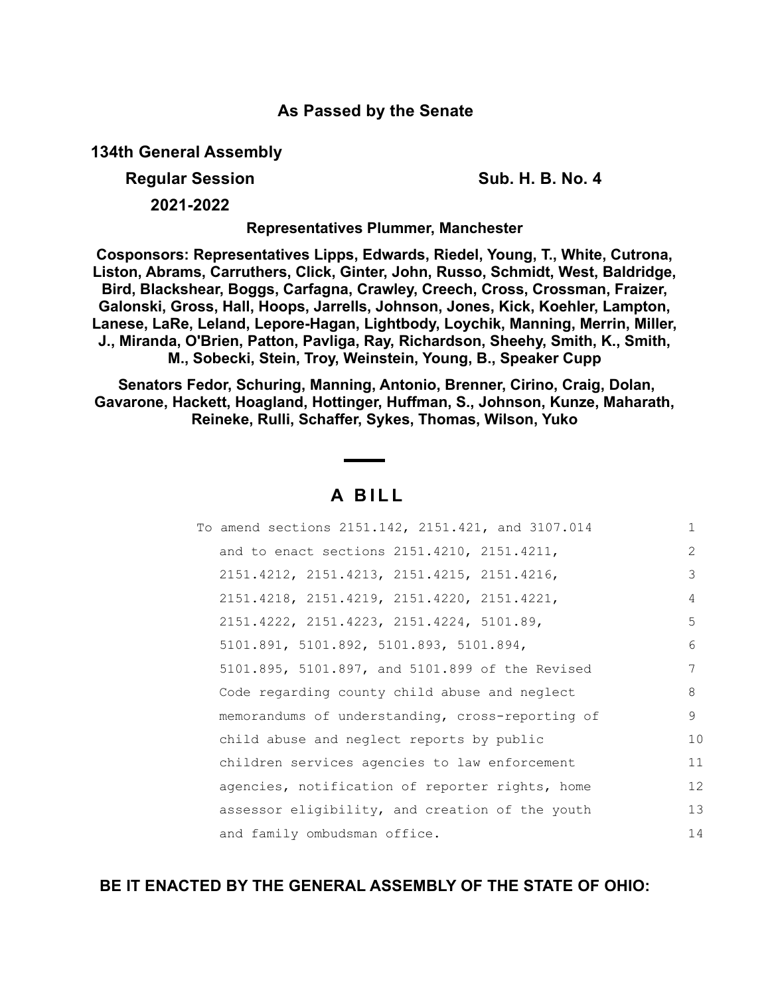## **As Passed by the Senate**

**134th General Assembly**

**Regular Session Sub. H. B. No. 4** 

**2021-2022**

**Representatives Plummer, Manchester**

**Cosponsors: Representatives Lipps, Edwards, Riedel, Young, T., White, Cutrona, Liston, Abrams, Carruthers, Click, Ginter, John, Russo, Schmidt, West, Baldridge, Bird, Blackshear, Boggs, Carfagna, Crawley, Creech, Cross, Crossman, Fraizer, Galonski, Gross, Hall, Hoops, Jarrells, Johnson, Jones, Kick, Koehler, Lampton, Lanese, LaRe, Leland, Lepore-Hagan, Lightbody, Loychik, Manning, Merrin, Miller, J., Miranda, O'Brien, Patton, Pavliga, Ray, Richardson, Sheehy, Smith, K., Smith, M., Sobecki, Stein, Troy, Weinstein, Young, B., Speaker Cupp**

 **Senators Fedor, Schuring, Manning, Antonio, Brenner, Cirino, Craig, Dolan, Gavarone, Hackett, Hoagland, Hottinger, Huffman, S., Johnson, Kunze, Maharath, Reineke, Rulli, Schaffer, Sykes, Thomas, Wilson, Yuko**

# **A B I L L**

| To amend sections 2151.142, 2151.421, and 3107.014 | 1             |
|----------------------------------------------------|---------------|
| and to enact sections 2151.4210, 2151.4211,        | $\mathcal{L}$ |
| 2151.4212, 2151.4213, 2151.4215, 2151.4216,        | 3             |
| 2151.4218, 2151.4219, 2151.4220, 2151.4221,        | 4             |
| 2151.4222, 2151.4223, 2151.4224, 5101.89,          | 5             |
| 5101.891, 5101.892, 5101.893, 5101.894,            | 6             |
| 5101.895, 5101.897, and 5101.899 of the Revised    | 7             |
| Code regarding county child abuse and neglect      | 8             |
| memorandums of understanding, cross-reporting of   | 9             |
| child abuse and neglect reports by public          | 10            |
| children services agencies to law enforcement      | 11            |
| agencies, notification of reporter rights, home    | 12            |
| assessor eligibility, and creation of the youth    | 13            |
| and family ombudsman office.                       | 14            |

## **BE IT ENACTED BY THE GENERAL ASSEMBLY OF THE STATE OF OHIO:**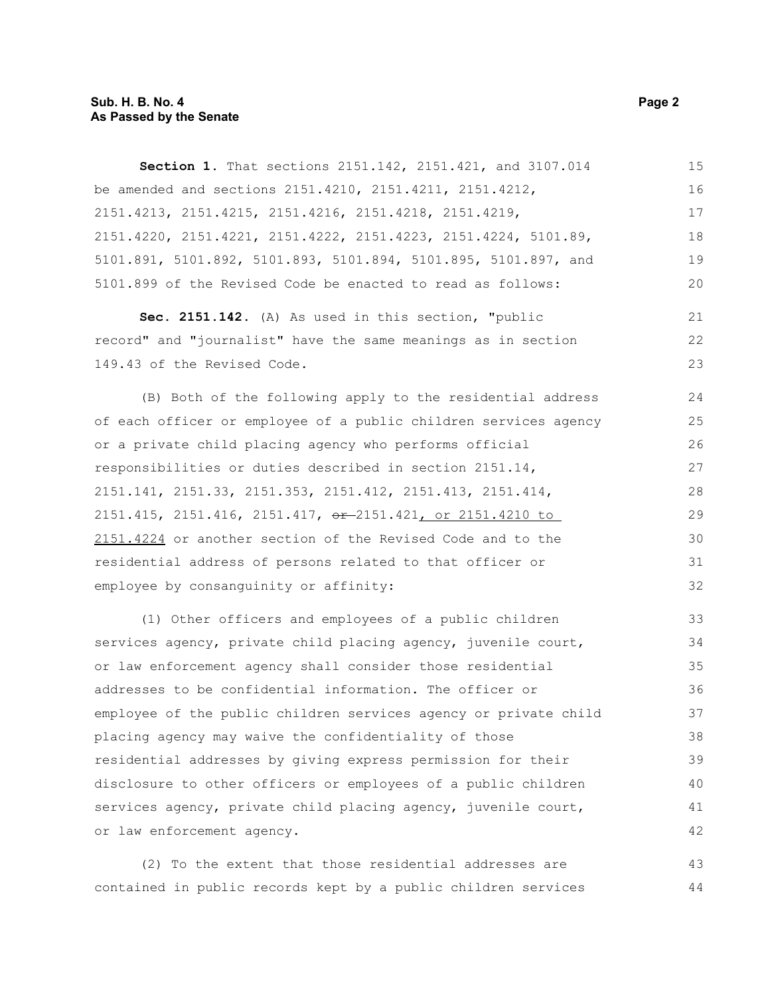**Section 1.** That sections 2151.142, 2151.421, and 3107.014 be amended and sections 2151.4210, 2151.4211, 2151.4212, 2151.4213, 2151.4215, 2151.4216, 2151.4218, 2151.4219, 2151.4220, 2151.4221, 2151.4222, 2151.4223, 2151.4224, 5101.89, 5101.891, 5101.892, 5101.893, 5101.894, 5101.895, 5101.897, and 5101.899 of the Revised Code be enacted to read as follows: 15 16 17 18 19 20

**Sec. 2151.142.** (A) As used in this section, "public record" and "journalist" have the same meanings as in section 149.43 of the Revised Code. 21 22 23

(B) Both of the following apply to the residential address of each officer or employee of a public children services agency or a private child placing agency who performs official responsibilities or duties described in section 2151.14, 2151.141, 2151.33, 2151.353, 2151.412, 2151.413, 2151.414, 2151.415, 2151.416, 2151.417, or 2151.421, or 2151.4210 to 2151.4224 or another section of the Revised Code and to the residential address of persons related to that officer or employee by consanguinity or affinity: 24 25 26 27 28 29 30 31 32

(1) Other officers and employees of a public children services agency, private child placing agency, juvenile court, or law enforcement agency shall consider those residential addresses to be confidential information. The officer or employee of the public children services agency or private child placing agency may waive the confidentiality of those residential addresses by giving express permission for their disclosure to other officers or employees of a public children services agency, private child placing agency, juvenile court, or law enforcement agency. 33 34 35 36 37 38 39 40 41 42

(2) To the extent that those residential addresses are contained in public records kept by a public children services 43 44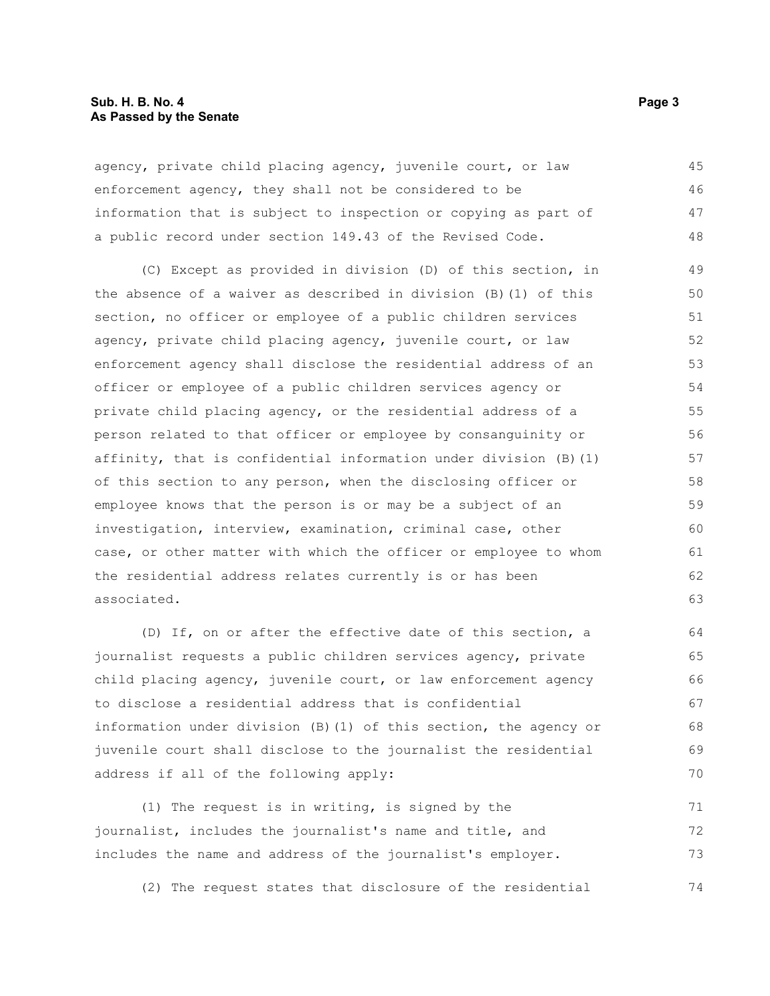#### **Sub. H. B. No. 4 Page 3 As Passed by the Senate**

agency, private child placing agency, juvenile court, or law enforcement agency, they shall not be considered to be information that is subject to inspection or copying as part of a public record under section 149.43 of the Revised Code. 45 46 47 48

(C) Except as provided in division (D) of this section, in the absence of a waiver as described in division (B)(1) of this section, no officer or employee of a public children services agency, private child placing agency, juvenile court, or law enforcement agency shall disclose the residential address of an officer or employee of a public children services agency or private child placing agency, or the residential address of a person related to that officer or employee by consanguinity or affinity, that is confidential information under division (B)(1) of this section to any person, when the disclosing officer or employee knows that the person is or may be a subject of an investigation, interview, examination, criminal case, other case, or other matter with which the officer or employee to whom the residential address relates currently is or has been associated. 49 50 51 52 53 54 55 56 57 58 59 60 61 62 63

(D) If, on or after the effective date of this section, a journalist requests a public children services agency, private child placing agency, juvenile court, or law enforcement agency to disclose a residential address that is confidential information under division (B)(1) of this section, the agency or juvenile court shall disclose to the journalist the residential address if all of the following apply: 64 65 66 67 68 69 70

(1) The request is in writing, is signed by the journalist, includes the journalist's name and title, and includes the name and address of the journalist's employer. 71 72 73

(2) The request states that disclosure of the residential 74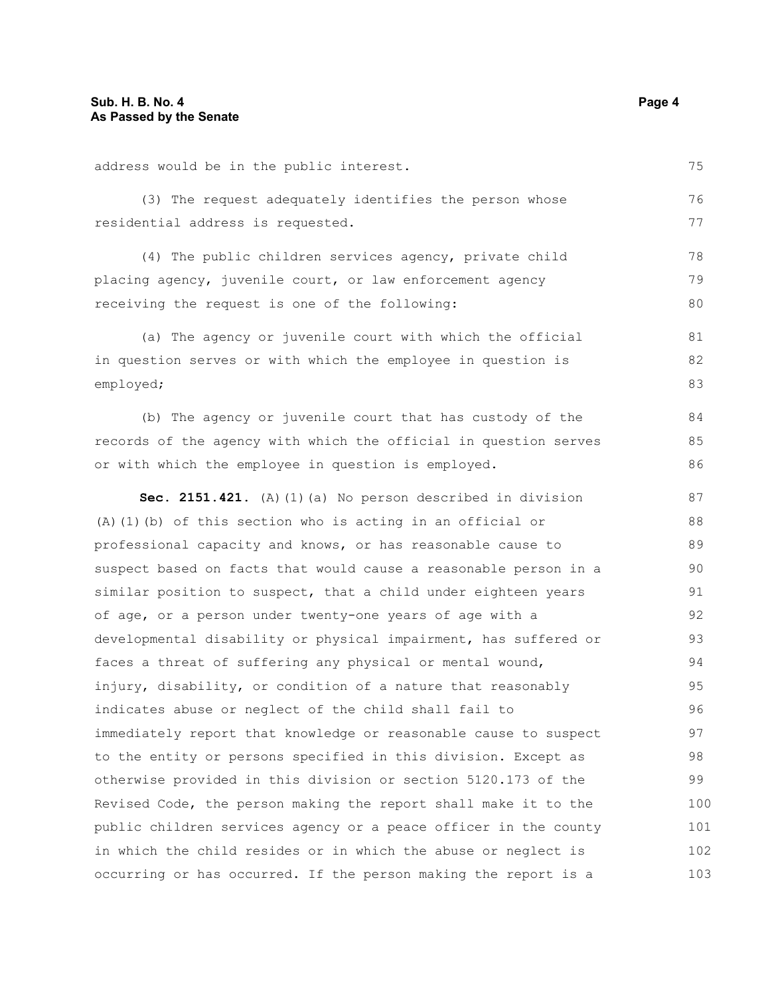| address would be in the public interest.                         | 75  |
|------------------------------------------------------------------|-----|
| (3) The request adequately identifies the person whose           | 76  |
| residential address is requested.                                | 77  |
| (4) The public children services agency, private child           | 78  |
| placing agency, juvenile court, or law enforcement agency        | 79  |
| receiving the request is one of the following:                   | 80  |
| (a) The agency or juvenile court with which the official         | 81  |
| in question serves or with which the employee in question is     | 82  |
| employed;                                                        | 83  |
| (b) The agency or juvenile court that has custody of the         | 84  |
| records of the agency with which the official in question serves | 85  |
| or with which the employee in question is employed.              | 86  |
| Sec. 2151.421. (A) (1) (a) No person described in division       | 87  |
| $(A)$ (1) (b) of this section who is acting in an official or    | 88  |
| professional capacity and knows, or has reasonable cause to      | 89  |
| suspect based on facts that would cause a reasonable person in a | 90  |
| similar position to suspect, that a child under eighteen years   | 91  |
| of age, or a person under twenty-one years of age with a         | 92  |
| developmental disability or physical impairment, has suffered or | 93  |
| faces a threat of suffering any physical or mental wound,        | 94  |
| injury, disability, or condition of a nature that reasonably     | 95  |
| indicates abuse or neglect of the child shall fail to            | 96  |
| immediately report that knowledge or reasonable cause to suspect | 97  |
| to the entity or persons specified in this division. Except as   | 98  |
| otherwise provided in this division or section 5120.173 of the   | 99  |
| Revised Code, the person making the report shall make it to the  | 100 |
| public children services agency or a peace officer in the county | 101 |
| in which the child resides or in which the abuse or neglect is   | 102 |

occurring or has occurred. If the person making the report is a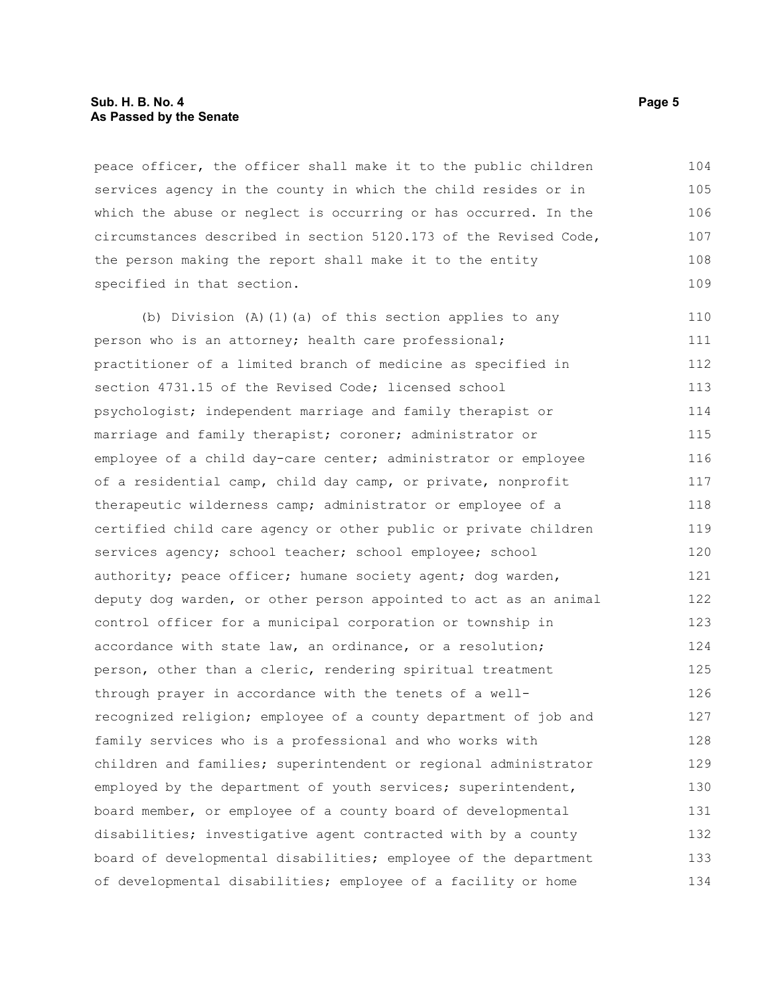#### **Sub. H. B. No. 4** Page 5 **As Passed by the Senate**

peace officer, the officer shall make it to the public children services agency in the county in which the child resides or in which the abuse or neglect is occurring or has occurred. In the circumstances described in section 5120.173 of the Revised Code, the person making the report shall make it to the entity specified in that section. 104 105 106 107 108 109

(b) Division (A)(1)(a) of this section applies to any person who is an attorney; health care professional; practitioner of a limited branch of medicine as specified in section 4731.15 of the Revised Code; licensed school psychologist; independent marriage and family therapist or marriage and family therapist; coroner; administrator or employee of a child day-care center; administrator or employee of a residential camp, child day camp, or private, nonprofit therapeutic wilderness camp; administrator or employee of a certified child care agency or other public or private children services agency; school teacher; school employee; school authority; peace officer; humane society agent; dog warden, deputy dog warden, or other person appointed to act as an animal control officer for a municipal corporation or township in accordance with state law, an ordinance, or a resolution; person, other than a cleric, rendering spiritual treatment through prayer in accordance with the tenets of a wellrecognized religion; employee of a county department of job and family services who is a professional and who works with children and families; superintendent or regional administrator employed by the department of youth services; superintendent, board member, or employee of a county board of developmental disabilities; investigative agent contracted with by a county board of developmental disabilities; employee of the department of developmental disabilities; employee of a facility or home 110 111 112 113 114 115 116 117 118 119 120 121 122 123 124 125 126 127 128 129 130 131 132 133 134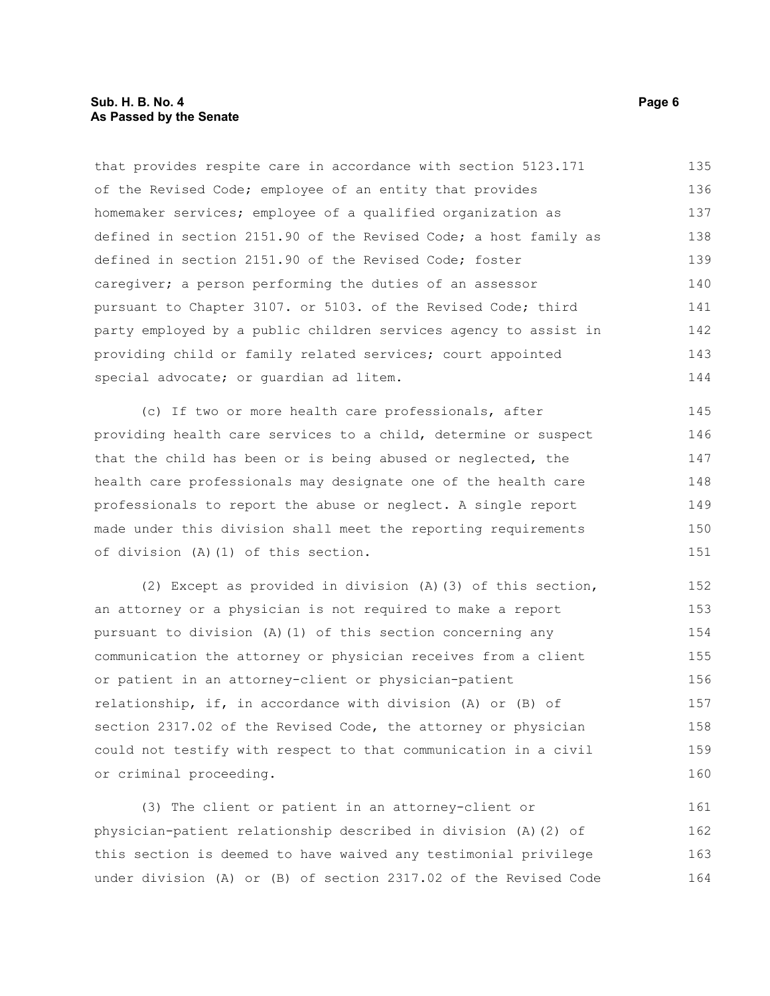#### **Sub. H. B. No. 4 Page 6 As Passed by the Senate**

that provides respite care in accordance with section 5123.171 of the Revised Code; employee of an entity that provides homemaker services; employee of a qualified organization as defined in section 2151.90 of the Revised Code; a host family as defined in section 2151.90 of the Revised Code; foster caregiver; a person performing the duties of an assessor pursuant to Chapter 3107. or 5103. of the Revised Code; third party employed by a public children services agency to assist in providing child or family related services; court appointed special advocate; or guardian ad litem. 135 136 137 138 139 140 141 142 143 144

(c) If two or more health care professionals, after providing health care services to a child, determine or suspect that the child has been or is being abused or neglected, the health care professionals may designate one of the health care professionals to report the abuse or neglect. A single report made under this division shall meet the reporting requirements of division (A)(1) of this section. 145 146 147 148 149 150 151

(2) Except as provided in division (A)(3) of this section, an attorney or a physician is not required to make a report pursuant to division (A)(1) of this section concerning any communication the attorney or physician receives from a client or patient in an attorney-client or physician-patient relationship, if, in accordance with division (A) or (B) of section 2317.02 of the Revised Code, the attorney or physician could not testify with respect to that communication in a civil or criminal proceeding. 152 153 154 155 156 157 158 159 160

(3) The client or patient in an attorney-client or physician-patient relationship described in division (A)(2) of this section is deemed to have waived any testimonial privilege under division (A) or (B) of section 2317.02 of the Revised Code 161 162 163 164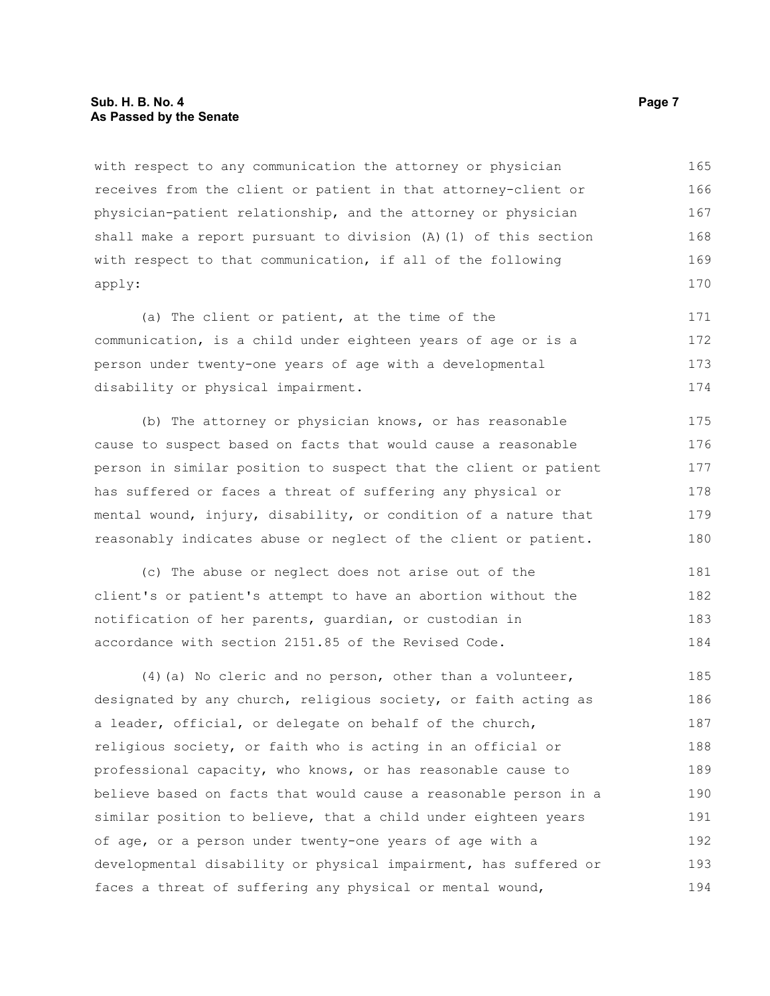#### **Sub. H. B. No. 4 Page 7 Page 7 Page 7 Page 7 Page 7 Page 7 Page 7 Page 7 Page 7 Page 7 Page 7 As Passed by the Senate**

with respect to any communication the attorney or physician receives from the client or patient in that attorney-client or physician-patient relationship, and the attorney or physician shall make a report pursuant to division (A)(1) of this section with respect to that communication, if all of the following apply: 165 166 167 168 169 170

(a) The client or patient, at the time of the communication, is a child under eighteen years of age or is a person under twenty-one years of age with a developmental disability or physical impairment. 171 172 173 174

(b) The attorney or physician knows, or has reasonable cause to suspect based on facts that would cause a reasonable person in similar position to suspect that the client or patient has suffered or faces a threat of suffering any physical or mental wound, injury, disability, or condition of a nature that reasonably indicates abuse or neglect of the client or patient. 175 176 177 178 179 180

(c) The abuse or neglect does not arise out of the client's or patient's attempt to have an abortion without the notification of her parents, guardian, or custodian in accordance with section 2151.85 of the Revised Code. 181 182 183 184

(4)(a) No cleric and no person, other than a volunteer, designated by any church, religious society, or faith acting as a leader, official, or delegate on behalf of the church, religious society, or faith who is acting in an official or professional capacity, who knows, or has reasonable cause to believe based on facts that would cause a reasonable person in a similar position to believe, that a child under eighteen years of age, or a person under twenty-one years of age with a developmental disability or physical impairment, has suffered or faces a threat of suffering any physical or mental wound, 185 186 187 188 189 190 191 192 193 194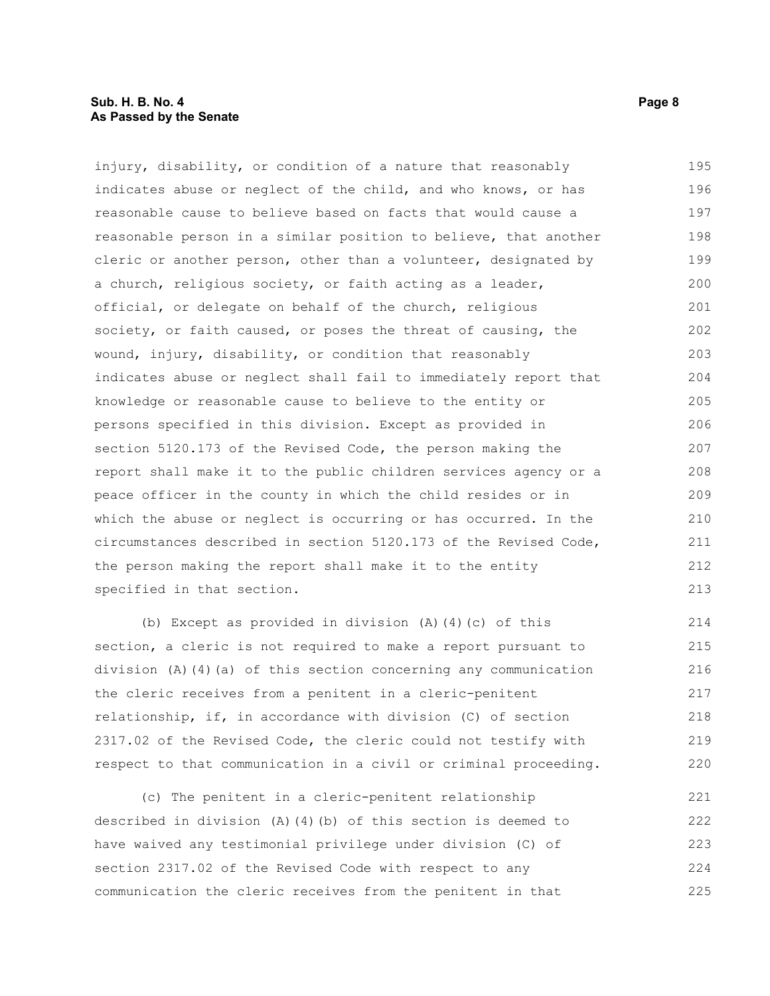#### **Sub. H. B. No. 4 Page 8 As Passed by the Senate**

injury, disability, or condition of a nature that reasonably indicates abuse or neglect of the child, and who knows, or has reasonable cause to believe based on facts that would cause a reasonable person in a similar position to believe, that another cleric or another person, other than a volunteer, designated by a church, religious society, or faith acting as a leader, official, or delegate on behalf of the church, religious society, or faith caused, or poses the threat of causing, the wound, injury, disability, or condition that reasonably indicates abuse or neglect shall fail to immediately report that knowledge or reasonable cause to believe to the entity or persons specified in this division. Except as provided in section 5120.173 of the Revised Code, the person making the report shall make it to the public children services agency or a peace officer in the county in which the child resides or in which the abuse or neglect is occurring or has occurred. In the circumstances described in section 5120.173 of the Revised Code, the person making the report shall make it to the entity specified in that section. 195 196 197 198 199 200 201 202 203 204 205 206 207 208 209 210 211 212 213

(b) Except as provided in division (A)(4)(c) of this section, a cleric is not required to make a report pursuant to division (A)(4)(a) of this section concerning any communication the cleric receives from a penitent in a cleric-penitent relationship, if, in accordance with division (C) of section 2317.02 of the Revised Code, the cleric could not testify with respect to that communication in a civil or criminal proceeding. 214 215 216 217 218 219 220

(c) The penitent in a cleric-penitent relationship described in division (A)(4)(b) of this section is deemed to have waived any testimonial privilege under division (C) of section 2317.02 of the Revised Code with respect to any communication the cleric receives from the penitent in that 221 222 223 224 225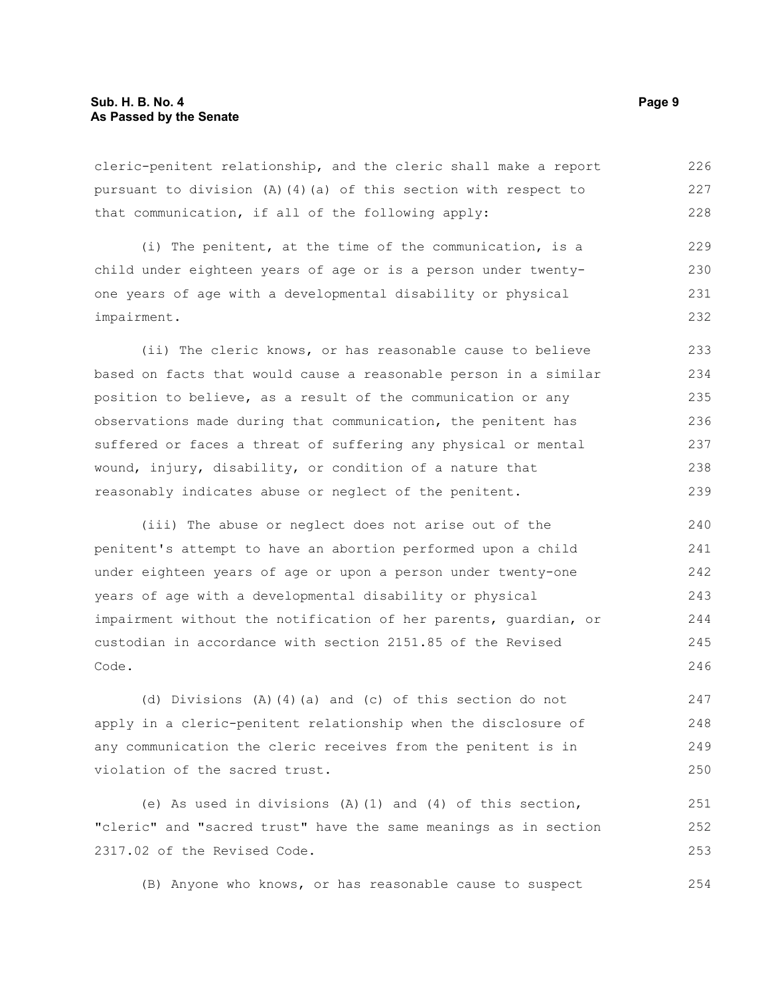cleric-penitent relationship, and the cleric shall make a report pursuant to division  $(A)$  (4)(a) of this section with respect to that communication, if all of the following apply: 226 227 228

(i) The penitent, at the time of the communication, is a child under eighteen years of age or is a person under twentyone years of age with a developmental disability or physical impairment. 229 230 231 232

(ii) The cleric knows, or has reasonable cause to believe based on facts that would cause a reasonable person in a similar position to believe, as a result of the communication or any observations made during that communication, the penitent has suffered or faces a threat of suffering any physical or mental wound, injury, disability, or condition of a nature that reasonably indicates abuse or neglect of the penitent. 233 234 235 236 237 238 239

(iii) The abuse or neglect does not arise out of the penitent's attempt to have an abortion performed upon a child under eighteen years of age or upon a person under twenty-one years of age with a developmental disability or physical impairment without the notification of her parents, guardian, or custodian in accordance with section 2151.85 of the Revised Code. 240 241 242 243 244 245 246

(d) Divisions (A)(4)(a) and (c) of this section do not apply in a cleric-penitent relationship when the disclosure of any communication the cleric receives from the penitent is in violation of the sacred trust. 247 248 249 250

(e) As used in divisions (A)(1) and (4) of this section, "cleric" and "sacred trust" have the same meanings as in section 2317.02 of the Revised Code. 251 252 253

(B) Anyone who knows, or has reasonable cause to suspect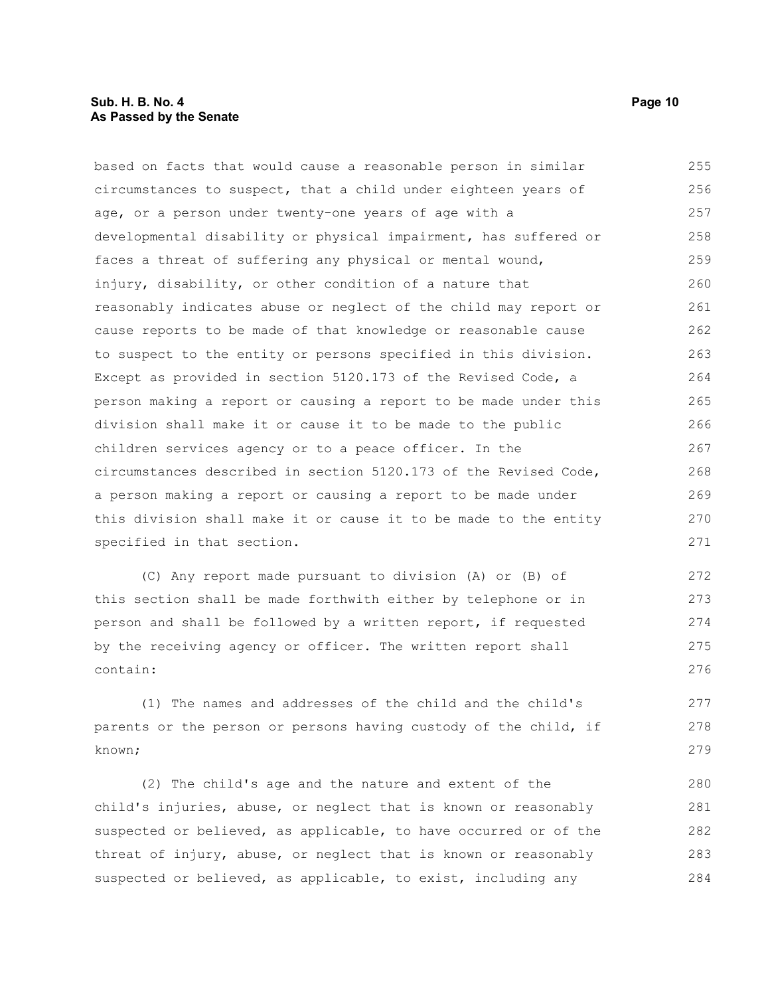#### **Sub. H. B. No. 4 Page 10 As Passed by the Senate**

based on facts that would cause a reasonable person in similar circumstances to suspect, that a child under eighteen years of age, or a person under twenty-one years of age with a developmental disability or physical impairment, has suffered or faces a threat of suffering any physical or mental wound, injury, disability, or other condition of a nature that reasonably indicates abuse or neglect of the child may report or cause reports to be made of that knowledge or reasonable cause to suspect to the entity or persons specified in this division. Except as provided in section 5120.173 of the Revised Code, a person making a report or causing a report to be made under this division shall make it or cause it to be made to the public children services agency or to a peace officer. In the circumstances described in section 5120.173 of the Revised Code, a person making a report or causing a report to be made under this division shall make it or cause it to be made to the entity specified in that section. 255 256 257 258 259 260 261 262 263 264 265 266 267 268 269 270 271

(C) Any report made pursuant to division (A) or (B) of this section shall be made forthwith either by telephone or in person and shall be followed by a written report, if requested by the receiving agency or officer. The written report shall contain: 272 273 274 275 276

(1) The names and addresses of the child and the child's parents or the person or persons having custody of the child, if known; 277 278 279

(2) The child's age and the nature and extent of the child's injuries, abuse, or neglect that is known or reasonably suspected or believed, as applicable, to have occurred or of the threat of injury, abuse, or neglect that is known or reasonably suspected or believed, as applicable, to exist, including any 280 281 282 283 284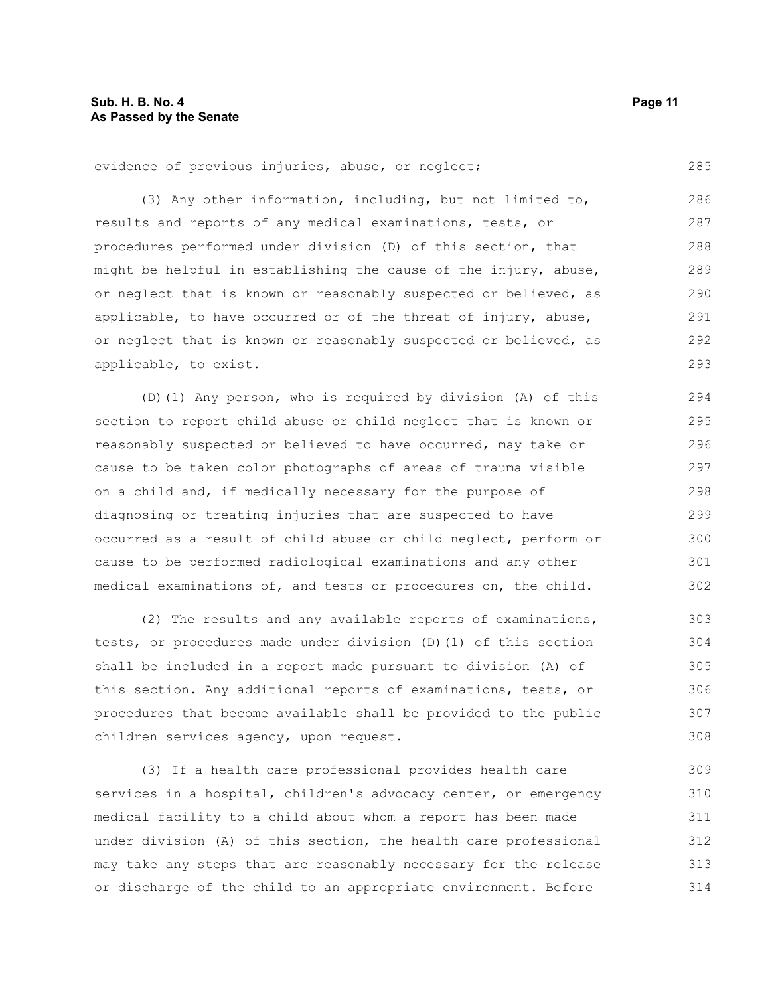evidence of previous injuries, abuse, or neglect;

(3) Any other information, including, but not limited to, results and reports of any medical examinations, tests, or procedures performed under division (D) of this section, that might be helpful in establishing the cause of the injury, abuse, or neglect that is known or reasonably suspected or believed, as applicable, to have occurred or of the threat of injury, abuse, or neglect that is known or reasonably suspected or believed, as applicable, to exist. 286 287 288 289 290 291 292 293

(D)(1) Any person, who is required by division (A) of this section to report child abuse or child neglect that is known or reasonably suspected or believed to have occurred, may take or cause to be taken color photographs of areas of trauma visible on a child and, if medically necessary for the purpose of diagnosing or treating injuries that are suspected to have occurred as a result of child abuse or child neglect, perform or cause to be performed radiological examinations and any other medical examinations of, and tests or procedures on, the child. 294 295 296 297 298 299 300 301 302

(2) The results and any available reports of examinations, tests, or procedures made under division (D)(1) of this section shall be included in a report made pursuant to division (A) of this section. Any additional reports of examinations, tests, or procedures that become available shall be provided to the public children services agency, upon request. 303 304 305 307

(3) If a health care professional provides health care services in a hospital, children's advocacy center, or emergency medical facility to a child about whom a report has been made under division (A) of this section, the health care professional may take any steps that are reasonably necessary for the release or discharge of the child to an appropriate environment. Before 309 310 311 312 313 314

285

306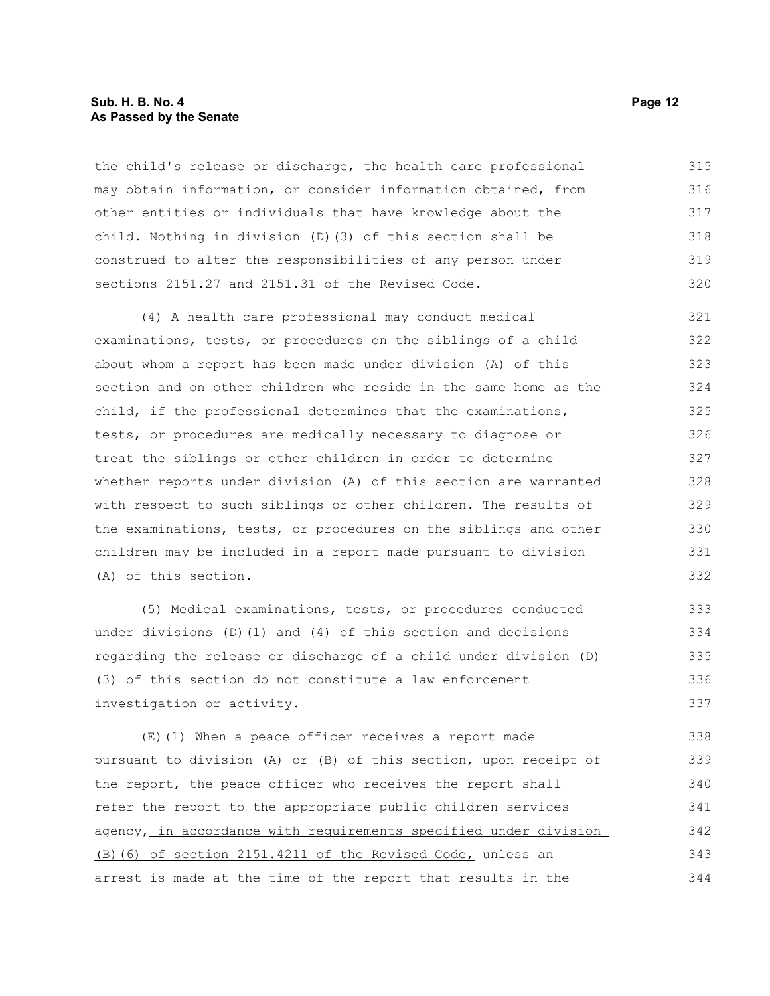#### **Sub. H. B. No. 4 Page 12 As Passed by the Senate**

the child's release or discharge, the health care professional may obtain information, or consider information obtained, from other entities or individuals that have knowledge about the child. Nothing in division (D)(3) of this section shall be construed to alter the responsibilities of any person under sections 2151.27 and 2151.31 of the Revised Code. 315 316 317 318 319 320

(4) A health care professional may conduct medical examinations, tests, or procedures on the siblings of a child about whom a report has been made under division (A) of this section and on other children who reside in the same home as the child, if the professional determines that the examinations, tests, or procedures are medically necessary to diagnose or treat the siblings or other children in order to determine whether reports under division (A) of this section are warranted with respect to such siblings or other children. The results of the examinations, tests, or procedures on the siblings and other children may be included in a report made pursuant to division (A) of this section. 321 322 323 324 325 326 327 328 329 330 331 332

(5) Medical examinations, tests, or procedures conducted under divisions (D)(1) and (4) of this section and decisions regarding the release or discharge of a child under division (D) (3) of this section do not constitute a law enforcement investigation or activity. 333 334 335 336 337

(E)(1) When a peace officer receives a report made pursuant to division (A) or (B) of this section, upon receipt of the report, the peace officer who receives the report shall refer the report to the appropriate public children services agency, in accordance with requirements specified under division (B)(6) of section 2151.4211 of the Revised Code, unless an arrest is made at the time of the report that results in the 338 339 340 341 342 343 344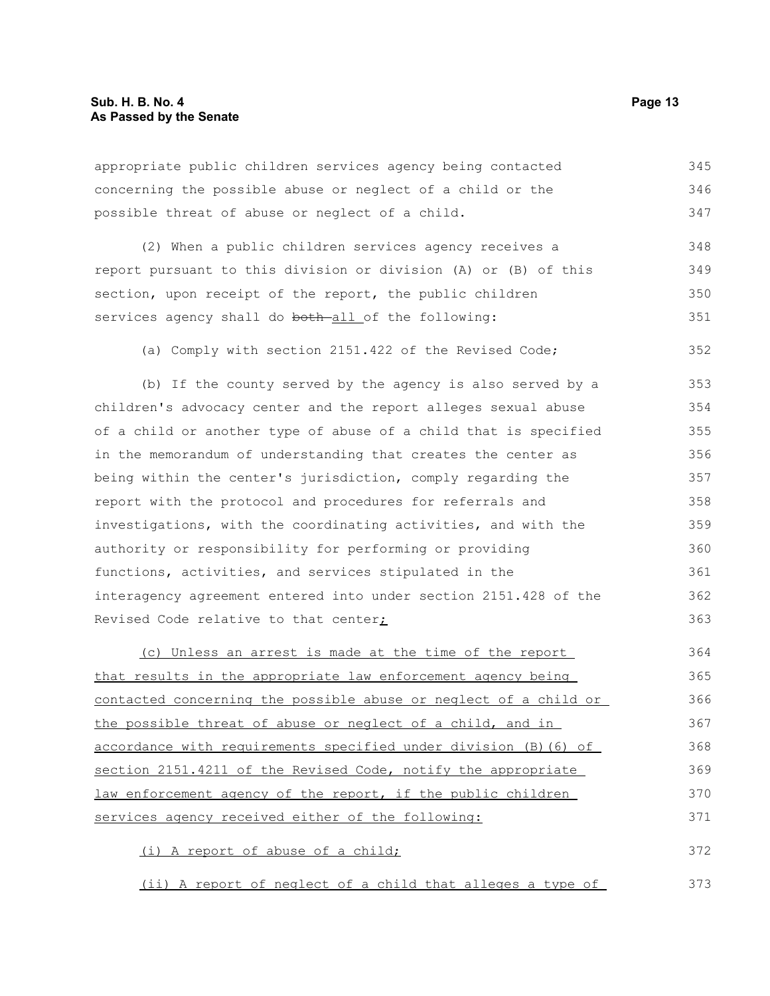appropriate public children services agency being contacted concerning the possible abuse or neglect of a child or the possible threat of abuse or neglect of a child. 345 346 347

(2) When a public children services agency receives a report pursuant to this division or division (A) or (B) of this section, upon receipt of the report, the public children services agency shall do both-all of the following: 348 349 350 351

(a) Comply with section 2151.422 of the Revised Code; 352

(b) If the county served by the agency is also served by a children's advocacy center and the report alleges sexual abuse of a child or another type of abuse of a child that is specified in the memorandum of understanding that creates the center as being within the center's jurisdiction, comply regarding the report with the protocol and procedures for referrals and investigations, with the coordinating activities, and with the authority or responsibility for performing or providing functions, activities, and services stipulated in the interagency agreement entered into under section 2151.428 of the Revised Code relative to that center; 353 354 355 356 357 358 359 360 361 362 363

(c) Unless an arrest is made at the time of the report that results in the appropriate law enforcement agency being contacted concerning the possible abuse or neglect of a child or the possible threat of abuse or neglect of a child, and in accordance with requirements specified under division (B)(6) of section 2151.4211 of the Revised Code, notify the appropriate law enforcement agency of the report, if the public children services agency received either of the following: 364 365 366 367 368 369 370 371

(i) A report of abuse of a child; (ii) A report of neglect of a child that alleges a type of 372 373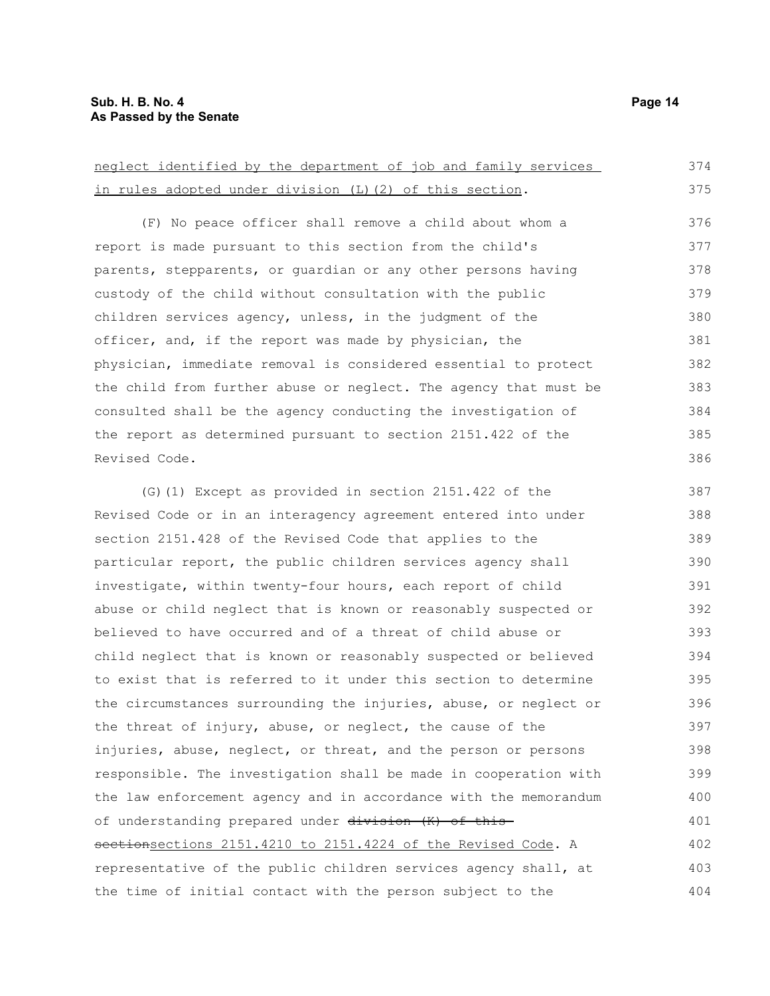neglect identified by the department of job and family services in rules adopted under division (L)(2) of this section. (F) No peace officer shall remove a child about whom a report is made pursuant to this section from the child's parents, stepparents, or guardian or any other persons having custody of the child without consultation with the public children services agency, unless, in the judgment of the officer, and, if the report was made by physician, the physician, immediate removal is considered essential to protect the child from further abuse or neglect. The agency that must be consulted shall be the agency conducting the investigation of the report as determined pursuant to section 2151.422 of the Revised Code. (G)(1) Except as provided in section 2151.422 of the Revised Code or in an interagency agreement entered into under section 2151.428 of the Revised Code that applies to the particular report, the public children services agency shall investigate, within twenty-four hours, each report of child abuse or child neglect that is known or reasonably suspected or believed to have occurred and of a threat of child abuse or child neglect that is known or reasonably suspected or believed to exist that is referred to it under this section to determine the circumstances surrounding the injuries, abuse, or neglect or the threat of injury, abuse, or neglect, the cause of the injuries, abuse, neglect, or threat, and the person or persons responsible. The investigation shall be made in cooperation with the law enforcement agency and in accordance with the memorandum of understanding prepared under division (K) of thissectionsections 2151.4210 to 2151.4224 of the Revised Code. A representative of the public children services agency shall, at the time of initial contact with the person subject to the 375 376 377 378 379 380 381 382 383 384 385 386 387 388 389 390 391 392 393 394 395 396 397 398 399 400 401 402 403 404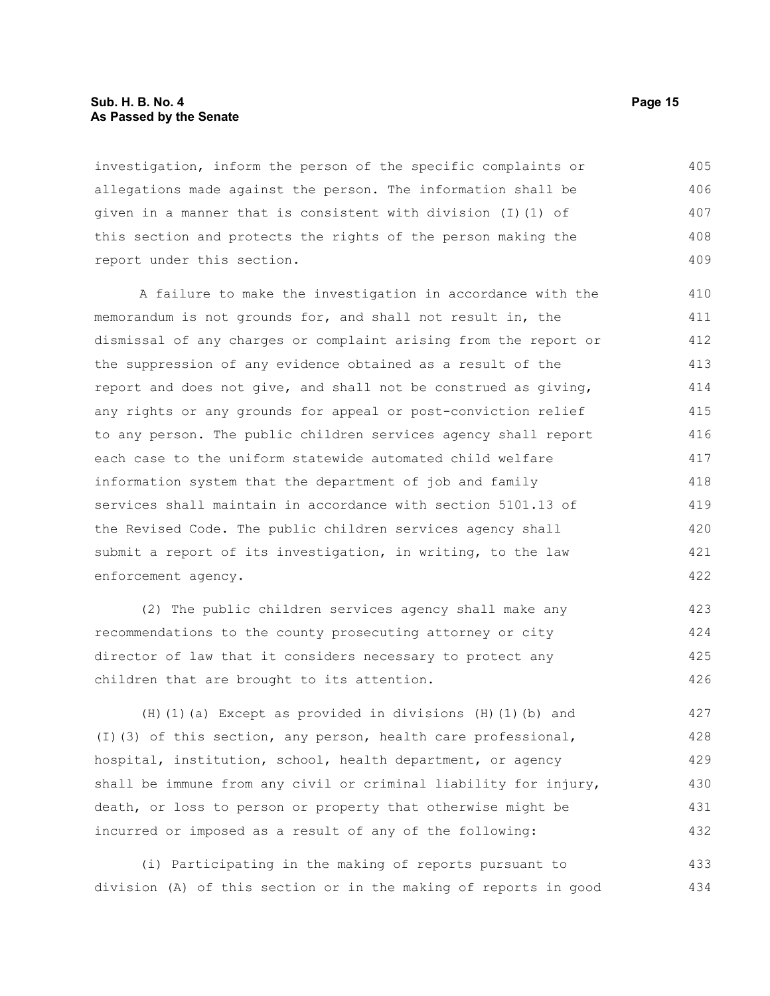#### **Sub. H. B. No. 4 Page 15 As Passed by the Senate**

investigation, inform the person of the specific complaints or allegations made against the person. The information shall be given in a manner that is consistent with division (I)(1) of this section and protects the rights of the person making the report under this section. 405 406 407 408 409

A failure to make the investigation in accordance with the memorandum is not grounds for, and shall not result in, the dismissal of any charges or complaint arising from the report or the suppression of any evidence obtained as a result of the report and does not give, and shall not be construed as giving, any rights or any grounds for appeal or post-conviction relief to any person. The public children services agency shall report each case to the uniform statewide automated child welfare information system that the department of job and family services shall maintain in accordance with section 5101.13 of the Revised Code. The public children services agency shall submit a report of its investigation, in writing, to the law enforcement agency. 410 411 412 413 414 415 416 417 418 419 420 421 422

(2) The public children services agency shall make any recommendations to the county prosecuting attorney or city director of law that it considers necessary to protect any children that are brought to its attention. 423 424 425 426

(H)(1)(a) Except as provided in divisions (H)(1)(b) and (I)(3) of this section, any person, health care professional, hospital, institution, school, health department, or agency shall be immune from any civil or criminal liability for injury, death, or loss to person or property that otherwise might be incurred or imposed as a result of any of the following: 427 428 429 430 431 432

(i) Participating in the making of reports pursuant to division (A) of this section or in the making of reports in good 433 434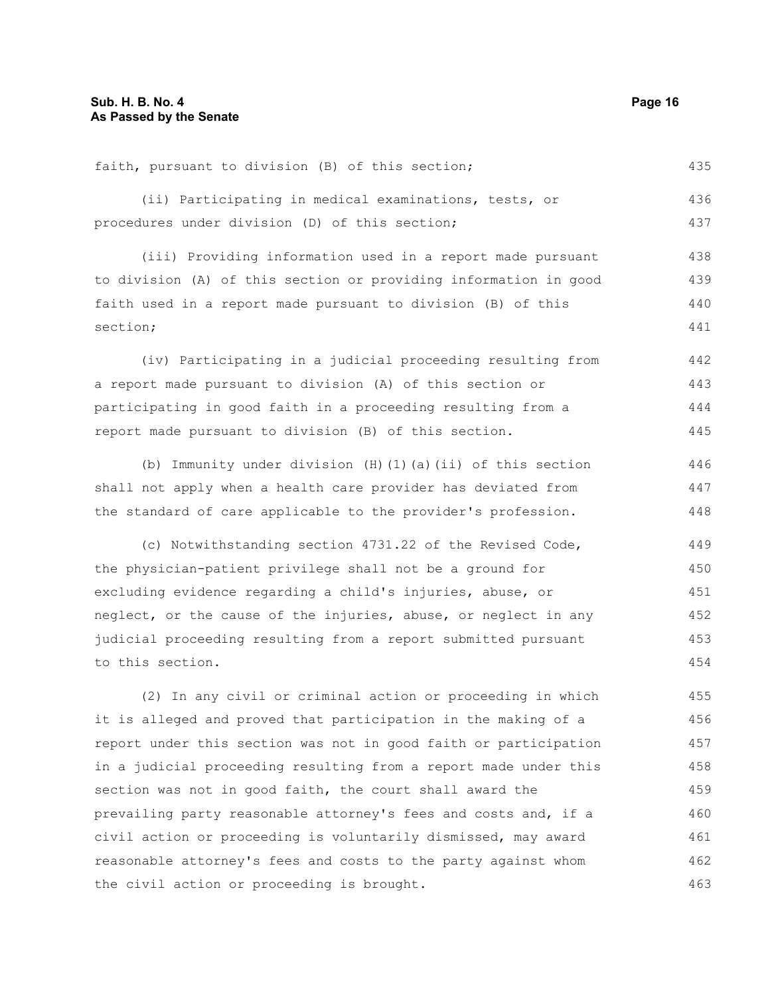faith, pursuant to division (B) of this section;

the civil action or proceeding is brought.

| (ii) Participating in medical examinations, tests, or            | 436 |
|------------------------------------------------------------------|-----|
| procedures under division (D) of this section;                   | 437 |
| (iii) Providing information used in a report made pursuant       | 438 |
| to division (A) of this section or providing information in good | 439 |
| faith used in a report made pursuant to division (B) of this     | 440 |
| section;                                                         | 441 |
| (iv) Participating in a judicial proceeding resulting from       | 442 |
| a report made pursuant to division (A) of this section or        | 443 |
| participating in good faith in a proceeding resulting from a     | 444 |
| report made pursuant to division (B) of this section.            | 445 |
| (b) Immunity under division $(H)$ (1) (a) (ii) of this section   | 446 |
| shall not apply when a health care provider has deviated from    | 447 |
| the standard of care applicable to the provider's profession.    | 448 |
| (c) Notwithstanding section 4731.22 of the Revised Code,         | 449 |
| the physician-patient privilege shall not be a ground for        | 450 |
| excluding evidence regarding a child's injuries, abuse, or       | 451 |
| neglect, or the cause of the injuries, abuse, or neglect in any  | 452 |
| judicial proceeding resulting from a report submitted pursuant   | 453 |
| to this section.                                                 | 454 |
| (2) In any civil or criminal action or proceeding in which       | 455 |
| it is alleged and proved that participation in the making of a   | 456 |
| report under this section was not in good faith or participation | 457 |
| in a judicial proceeding resulting from a report made under this | 458 |
| section was not in good faith, the court shall award the         | 459 |
| prevailing party reasonable attorney's fees and costs and, if a  | 460 |
| civil action or proceeding is voluntarily dismissed, may award   | 461 |
| reasonable attorney's fees and costs to the party against whom   | 462 |
|                                                                  |     |

435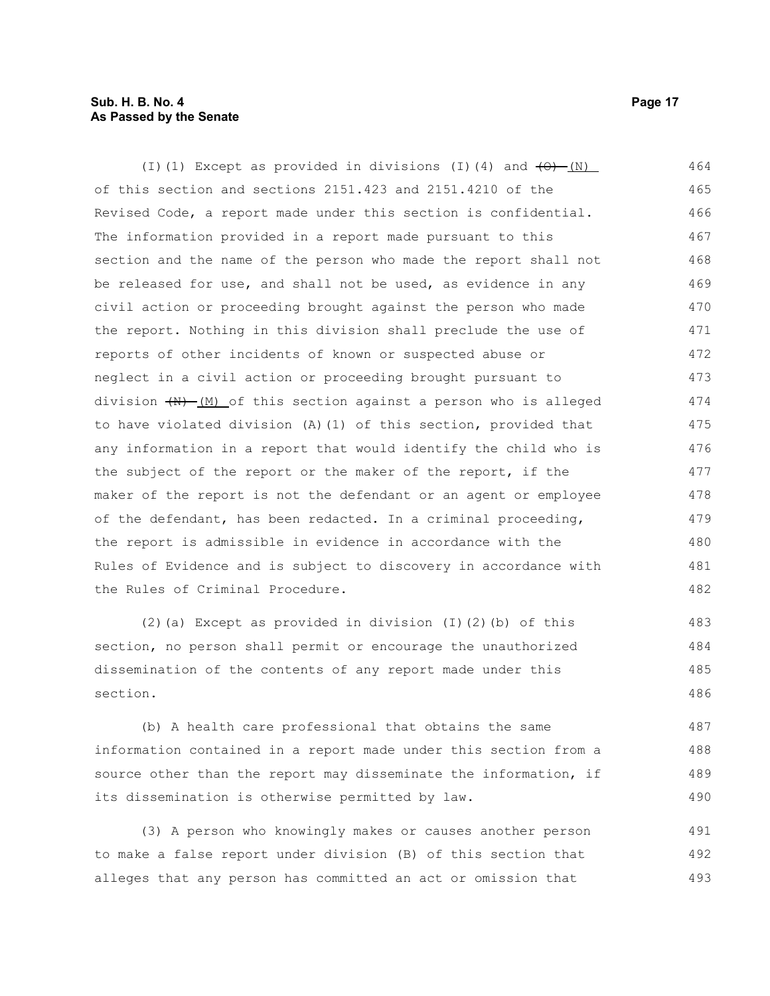#### **Sub. H. B. No. 4 Page 17 As Passed by the Senate**

(I)(1) Except as provided in divisions (I)(4) and  $\left( \Theta \right)$  (N) of this section and sections 2151.423 and 2151.4210 of the Revised Code, a report made under this section is confidential. The information provided in a report made pursuant to this section and the name of the person who made the report shall not be released for use, and shall not be used, as evidence in any civil action or proceeding brought against the person who made the report. Nothing in this division shall preclude the use of reports of other incidents of known or suspected abuse or neglect in a civil action or proceeding brought pursuant to division  $(W)$   $(M)$  of this section against a person who is alleged to have violated division (A)(1) of this section, provided that any information in a report that would identify the child who is the subject of the report or the maker of the report, if the maker of the report is not the defendant or an agent or employee of the defendant, has been redacted. In a criminal proceeding, the report is admissible in evidence in accordance with the Rules of Evidence and is subject to discovery in accordance with the Rules of Criminal Procedure. 464 465 466 467 468 469 470 471 472 473 474 475 476 477 478 479 480 481 482

(2)(a) Except as provided in division (I)(2)(b) of this section, no person shall permit or encourage the unauthorized dissemination of the contents of any report made under this section. 483 484 485 486

(b) A health care professional that obtains the same information contained in a report made under this section from a source other than the report may disseminate the information, if its dissemination is otherwise permitted by law. 487 488 489 490

(3) A person who knowingly makes or causes another person to make a false report under division (B) of this section that alleges that any person has committed an act or omission that 491 492 493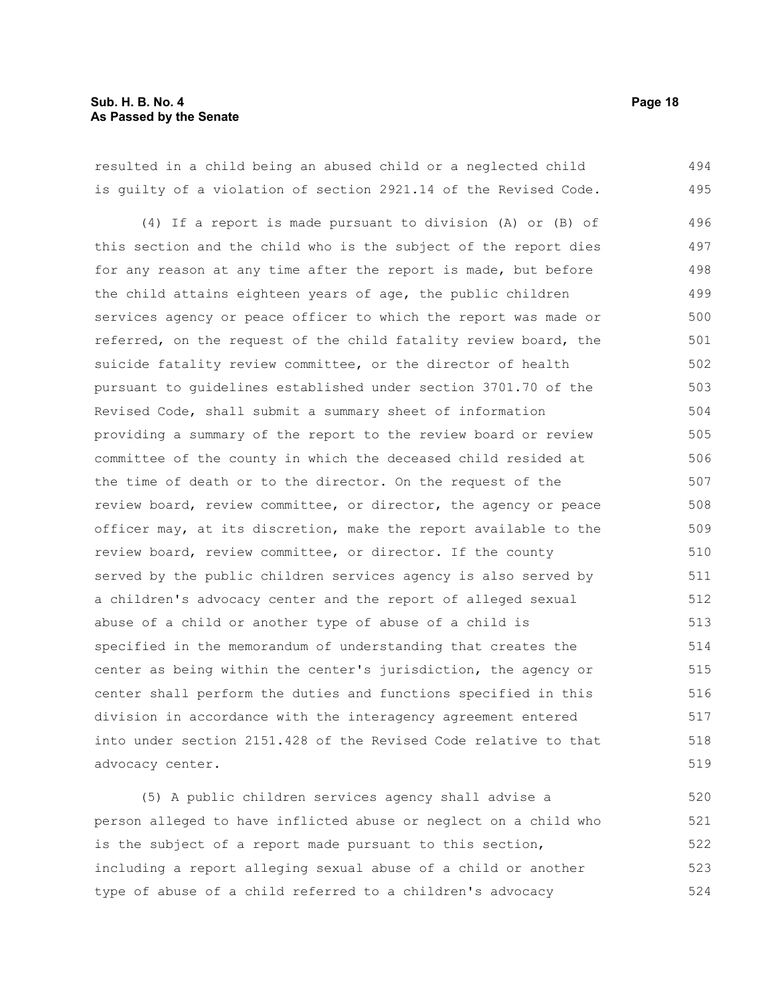resulted in a child being an abused child or a neglected child is guilty of a violation of section 2921.14 of the Revised Code. 494 495

(4) If a report is made pursuant to division (A) or (B) of this section and the child who is the subject of the report dies for any reason at any time after the report is made, but before the child attains eighteen years of age, the public children services agency or peace officer to which the report was made or referred, on the request of the child fatality review board, the suicide fatality review committee, or the director of health pursuant to guidelines established under section 3701.70 of the Revised Code, shall submit a summary sheet of information providing a summary of the report to the review board or review committee of the county in which the deceased child resided at the time of death or to the director. On the request of the review board, review committee, or director, the agency or peace officer may, at its discretion, make the report available to the review board, review committee, or director. If the county served by the public children services agency is also served by a children's advocacy center and the report of alleged sexual abuse of a child or another type of abuse of a child is specified in the memorandum of understanding that creates the center as being within the center's jurisdiction, the agency or center shall perform the duties and functions specified in this division in accordance with the interagency agreement entered into under section 2151.428 of the Revised Code relative to that advocacy center. 496 497 498 499 500 501 502 503 504 505 506 507 508 509 510 511 512 513 514 515 516 517 518 519

(5) A public children services agency shall advise a person alleged to have inflicted abuse or neglect on a child who is the subject of a report made pursuant to this section, including a report alleging sexual abuse of a child or another type of abuse of a child referred to a children's advocacy 520 521 522 523 524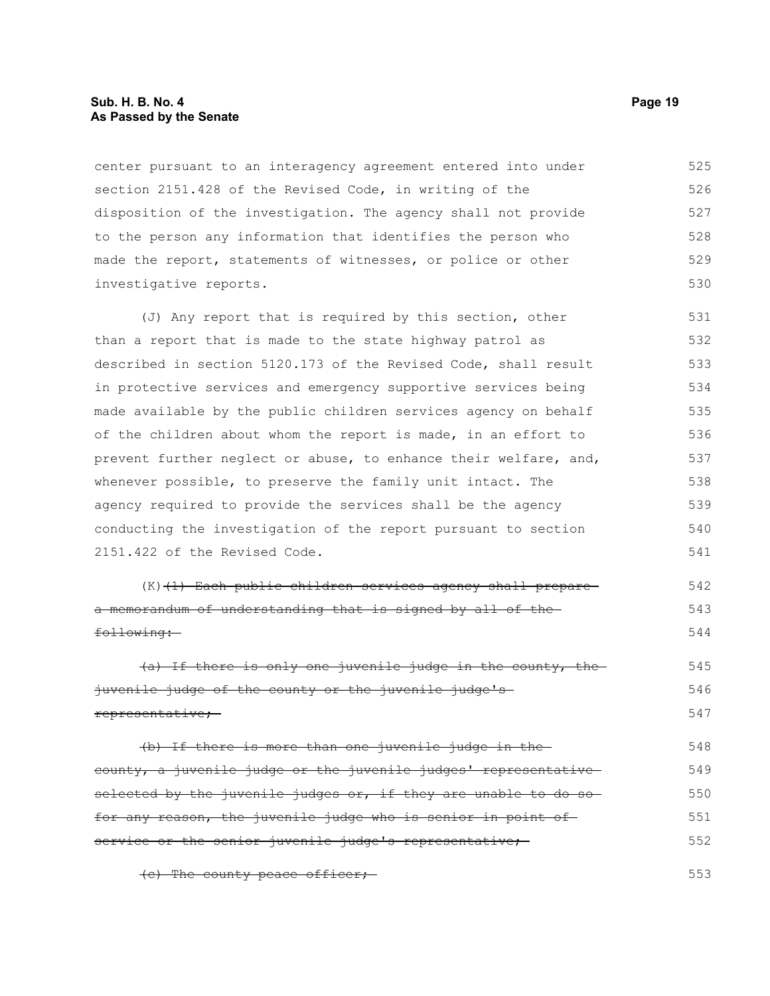#### **Sub. H. B. No. 4 Page 19 As Passed by the Senate**

center pursuant to an interagency agreement entered into under section 2151.428 of the Revised Code, in writing of the disposition of the investigation. The agency shall not provide to the person any information that identifies the person who made the report, statements of witnesses, or police or other investigative reports. 525 526 527 528 529 530

(J) Any report that is required by this section, other than a report that is made to the state highway patrol as described in section 5120.173 of the Revised Code, shall result in protective services and emergency supportive services being made available by the public children services agency on behalf of the children about whom the report is made, in an effort to prevent further neglect or abuse, to enhance their welfare, and, whenever possible, to preserve the family unit intact. The agency required to provide the services shall be the agency conducting the investigation of the report pursuant to section 2151.422 of the Revised Code. 531 532 533 534 535 536 537 538 539 540 541

 $(K)$  (1) Each public children services agency shall prepare a memorandum of understanding that is signed by all of the following: 542 543 544

(a) If there is only one juvenile judge in the county, the juvenile judge of the county or the juvenile judge's representative; 545 546 547

(b) If there is more than one juvenile judge in the county, a juvenile judge or the juvenile judges' representative selected by the juvenile judges or, if they are unable to do sofor any reason, the juvenile judge who is senior in point of service or the senior juvenile judge's representative; 548 549 550 551 552

(c) The county peace officer;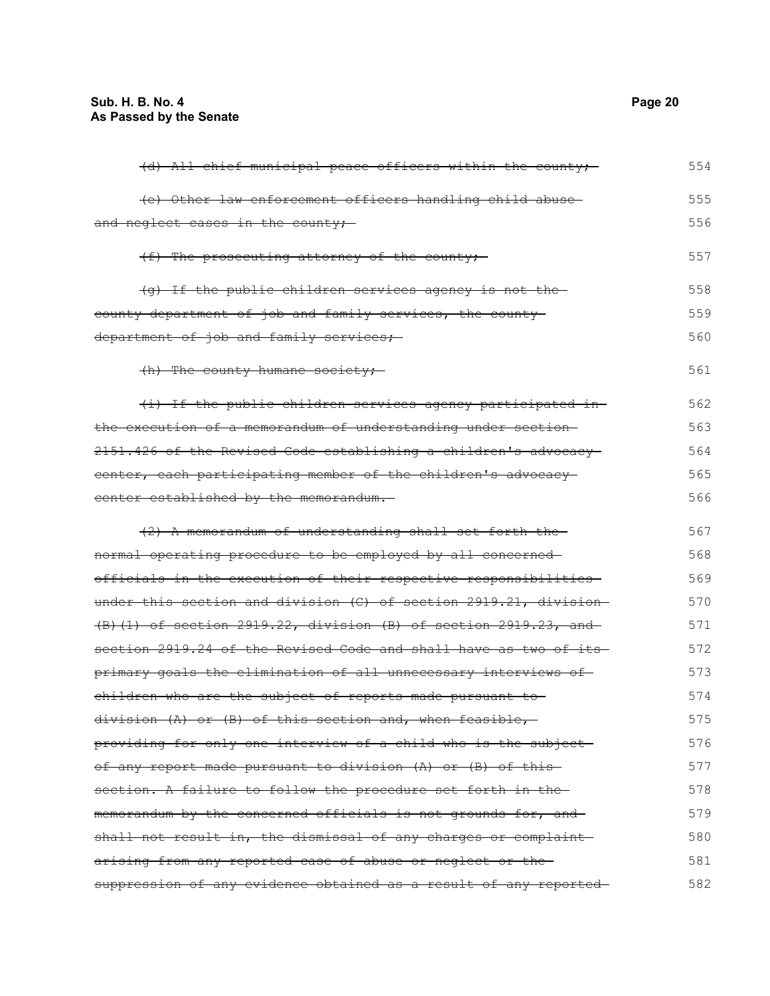| (d) All chief municipal peace officers within the county;          | 554 |
|--------------------------------------------------------------------|-----|
| (e) Other law enforcement officers handling child abuse            | 555 |
| and neglect cases in the county;                                   | 556 |
| (f) The prosecuting attorney of the county;                        | 557 |
| (g) If the public children services agency is not the-             | 558 |
| county department of job and family services, the county           | 559 |
| department of job and family services;                             | 560 |
| (h) The county humane society;                                     | 561 |
| (i) If the public children services agency participated in-        | 562 |
| the execution of a memorandum of understanding under section-      | 563 |
| 2151.426 of the Revised Code establishing a children's advocacy    | 564 |
| center, each participating member of the children's advocacy-      | 565 |
| center established by the memorandum.                              | 566 |
| (2) A memorandum of understanding shall set forth the              | 567 |
| normal operating procedure to be employed by all concerned-        | 568 |
| officials in the execution of their respective responsibilities    | 569 |
| under this section and division (C) of section 2919.21, division   | 570 |
| $(B)$ (1) of section 2919.22, division (B) of section 2919.23, and | 571 |
| section 2919.24 of the Revised Code and shall have as two of its   | 572 |
| primary goals the elimination of all unnecessary interviews of     | 573 |
| children who are the subject of reports made pursuant to-          | 574 |
| division (A) or (B) of this section and, when feasible,            | 575 |
| providing for only one interview of a child who is the subject-    | 576 |
| of any report made pursuant to division (A) or (B) of this         | 577 |
| section. A failure to follow the procedure set forth in the-       | 578 |
| memorandum by the concerned officials is not grounds for, and      | 579 |
| shall not result in, the dismissal of any charges or complaint     | 580 |
| arising from any reported case of abuse or neglect or the-         | 581 |
| suppression of any evidence obtained as a result of any reported-  | 582 |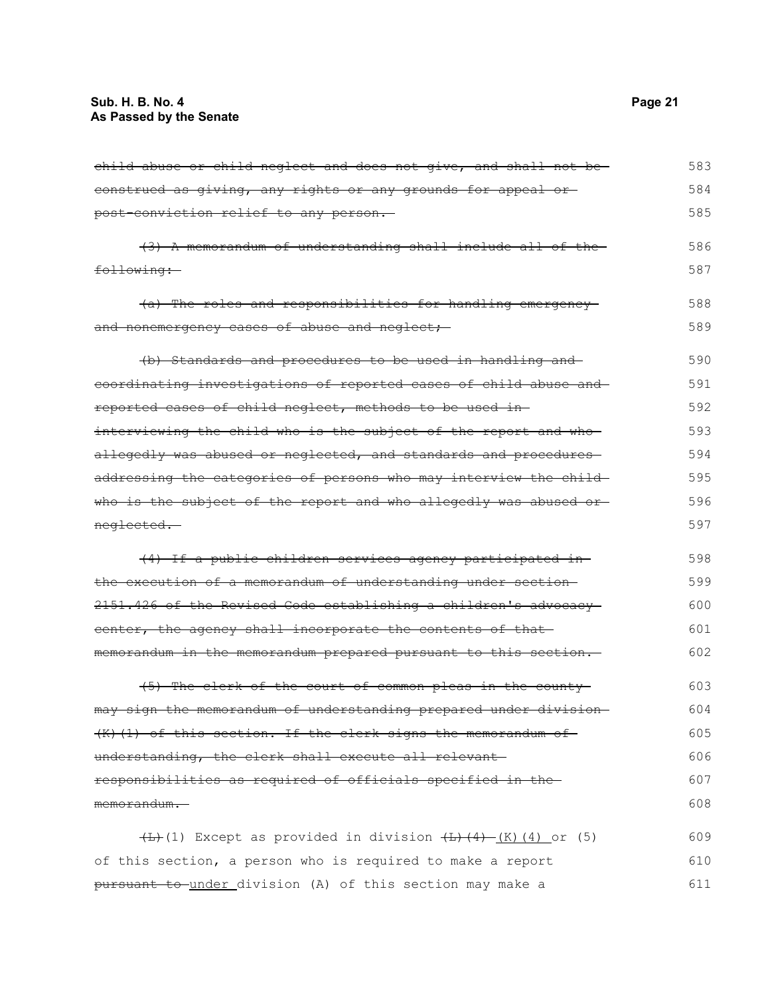| child abuse or child neglect and does not give, and shall not be-                                             | 583 |
|---------------------------------------------------------------------------------------------------------------|-----|
| construed as giving, any rights or any grounds for appeal or                                                  | 584 |
| post-conviction relief to any person.                                                                         | 585 |
| (3) A memorandum of understanding shall include all of the                                                    | 586 |
| following:                                                                                                    | 587 |
| (a) The roles and responsibilities for handling emergency-                                                    | 588 |
| and nonemergency cases of abuse and neglect;                                                                  | 589 |
| (b) Standards and procedures to be used in handling and                                                       | 590 |
| coordinating investigations of reported cases of child abuse and                                              | 591 |
| reported cases of child neglect, methods to be used in-                                                       | 592 |
| interviewing the child who is the subject of the report and who-                                              | 593 |
| allegedly was abused or neglected, and standards and procedures                                               | 594 |
| addressing the categories of persons who may interview the child-                                             | 595 |
| who is the subject of the report and who allegedly was abused or                                              | 596 |
| neglected.                                                                                                    | 597 |
| (4) If a public children services agency participated in-                                                     | 598 |
| the execution of a memorandum of understanding under section                                                  | 599 |
| 2151.426 of the Revised Code establishing a children's advocacy-                                              | 600 |
| eenter, the agency shall incorporate the contents of that-                                                    | 601 |
| memorandum in the memorandum prepared pursuant to this section.                                               | 602 |
| (5) The clerk of the court of common pleas in the county                                                      | 603 |
| may sign the memorandum of understanding prepared under division                                              | 604 |
| $(K)$ (1) of this section. If the clerk signs the memorandum of                                               | 605 |
| understanding, the clerk shall execute all relevant                                                           | 606 |
| responsibilities as required of officials specified in the-                                                   | 607 |
| memorandum.                                                                                                   | 608 |
| $\overline{+L}$ (1) Except as provided in division $\overline{+L}$ $\overline{+2}$ $\overline{+2}$ (4) or (5) | 609 |
| of this section, a person who is required to make a report                                                    | 610 |
| pursuant to under division (A) of this section may make a                                                     | 611 |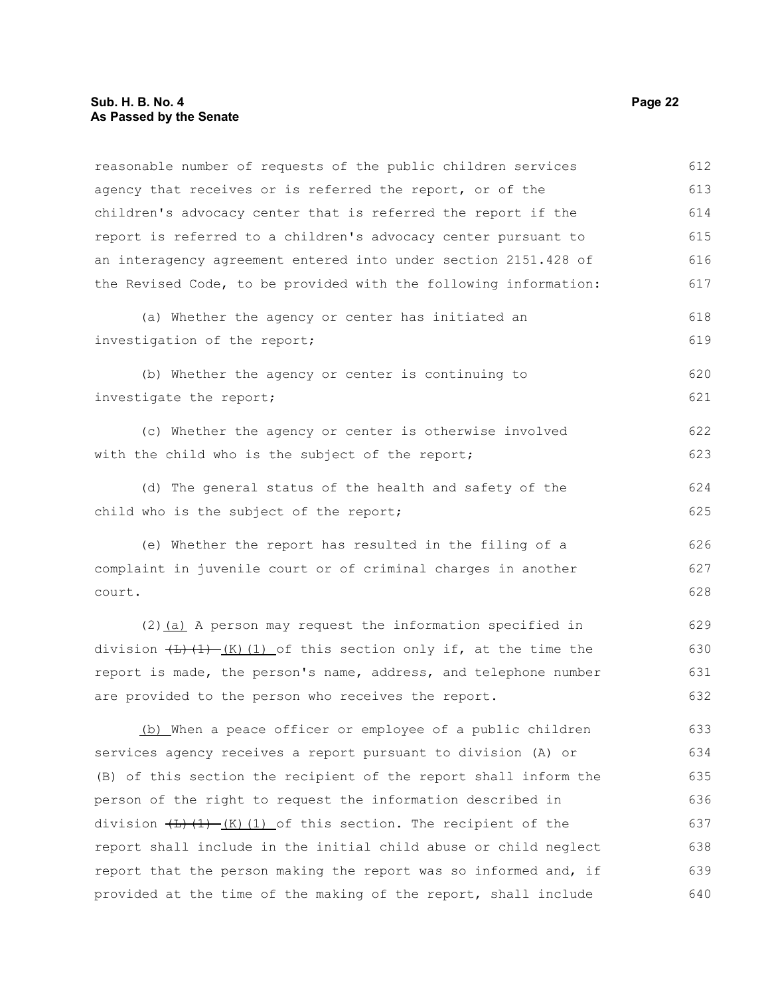## **Sub. H. B. No. 4 Page 22 As Passed by the Senate**

| reasonable number of requests of the public children services                                               | 612 |
|-------------------------------------------------------------------------------------------------------------|-----|
| agency that receives or is referred the report, or of the                                                   | 613 |
| children's advocacy center that is referred the report if the                                               | 614 |
| report is referred to a children's advocacy center pursuant to                                              | 615 |
| an interagency agreement entered into under section 2151.428 of                                             | 616 |
| the Revised Code, to be provided with the following information:                                            | 617 |
| (a) Whether the agency or center has initiated an                                                           | 618 |
| investigation of the report;                                                                                | 619 |
| (b) Whether the agency or center is continuing to                                                           | 620 |
| investigate the report;                                                                                     | 621 |
| (c) Whether the agency or center is otherwise involved                                                      | 622 |
| with the child who is the subject of the report;                                                            | 623 |
| (d) The general status of the health and safety of the                                                      | 624 |
| child who is the subject of the report;                                                                     | 625 |
| (e) Whether the report has resulted in the filing of a                                                      | 626 |
| complaint in juvenile court or of criminal charges in another                                               | 627 |
| court.                                                                                                      | 628 |
| $(2)$ (a) A person may request the information specified in                                                 | 629 |
| division $\left(\frac{L}{L}\right)$ $\left(\frac{K}{L}\right)$ (1) of this section only if, at the time the | 630 |
| report is made, the person's name, address, and telephone number                                            | 631 |
| are provided to the person who receives the report.                                                         | 632 |
| (b) When a peace officer or employee of a public children                                                   | 633 |
| services agency receives a report pursuant to division (A) or                                               | 634 |
| (B) of this section the recipient of the report shall inform the                                            | 635 |
| person of the right to request the information described in                                                 | 636 |
| division $\left(\frac{L}{L}\right)\left(\frac{L}{L}\right)$ (1) of this section. The recipient of the       | 637 |
| report shall include in the initial child abuse or child neglect                                            | 638 |
| report that the person making the report was so informed and, if                                            | 639 |
| provided at the time of the making of the report, shall include                                             | 640 |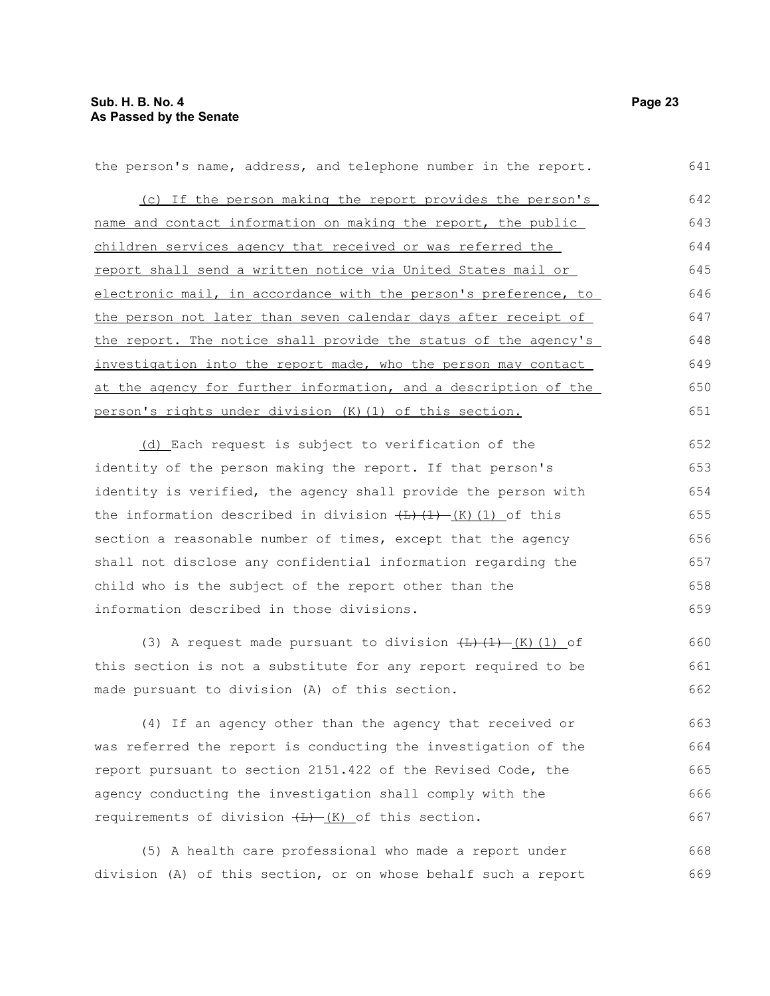| the person's name, address, and telephone number in the report.                                       | 641 |
|-------------------------------------------------------------------------------------------------------|-----|
| (c) If the person making the report provides the person's                                             | 642 |
| name and contact information on making the report, the public                                         | 643 |
| children services agency that received or was referred the                                            | 644 |
| report shall send a written notice via United States mail or                                          | 645 |
| electronic mail, in accordance with the person's preference, to                                       | 646 |
| the person not later than seven calendar days after receipt of                                        | 647 |
| the report. The notice shall provide the status of the agency's                                       | 648 |
| investigation into the report made, who the person may contact                                        | 649 |
| <u>at the agency for further information, and a description of the </u>                               | 650 |
| person's rights under division (K) (1) of this section.                                               | 651 |
| (d) Each request is subject to verification of the                                                    | 652 |
| identity of the person making the report. If that person's                                            | 653 |
| identity is verified, the agency shall provide the person with                                        | 654 |
| the information described in division $\frac{1}{1}$ $\frac{1}{1}$ $\frac{1}{1}$ $\frac{1}{1}$ of this | 655 |
| section a reasonable number of times, except that the agency                                          | 656 |
| shall not disclose any confidential information regarding the                                         | 657 |
| child who is the subject of the report other than the                                                 | 658 |
| information described in those divisions.                                                             | 659 |
| (3) A request made pursuant to division $\left(\frac{L}{L}\right) \left(\frac{1}{L}\right)$ (1) of    | 660 |
| this section is not a substitute for any report required to be                                        | 661 |
| made pursuant to division (A) of this section.                                                        | 662 |
| (4) If an agency other than the agency that received or                                               | 663 |
| was referred the report is conducting the investigation of the                                        | 664 |
| report pursuant to section 2151.422 of the Revised Code, the                                          | 665 |
| agency conducting the investigation shall comply with the                                             | 666 |
| requirements of division $(H)$ (K) of this section.                                                   | 667 |

(5) A health care professional who made a report under division (A) of this section, or on whose behalf such a report 668 669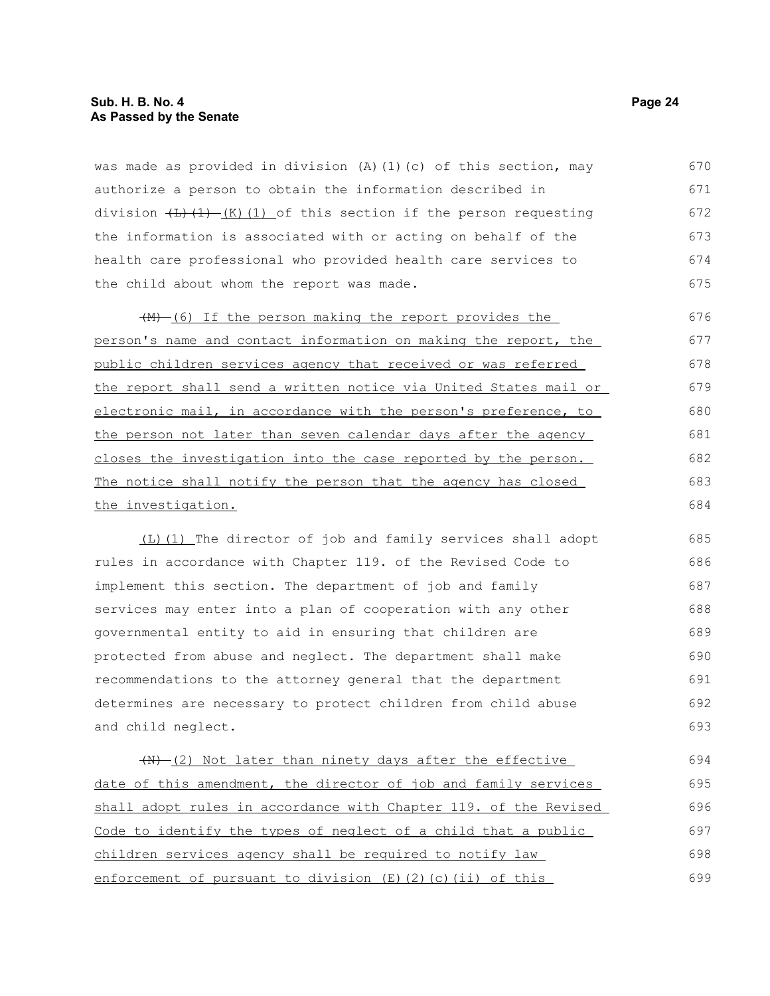#### **Sub. H. B. No. 4 Page 24 As Passed by the Senate**

was made as provided in division  $(A)$   $(1)$   $(c)$  of this section, may authorize a person to obtain the information described in division  $\frac{L}{L}(\frac{L}{L})$  (I) of this section if the person requesting the information is associated with or acting on behalf of the health care professional who provided health care services to the child about whom the report was made. 670 671 672 673 674 675

 $(H)$  (6) If the person making the report provides the person's name and contact information on making the report, the public children services agency that received or was referred the report shall send a written notice via United States mail or electronic mail, in accordance with the person's preference, to the person not later than seven calendar days after the agency closes the investigation into the case reported by the person. The notice shall notify the person that the agency has closed the investigation. 676 677 678 679 680 681 682 683 684

(L)(1) The director of job and family services shall adopt rules in accordance with Chapter 119. of the Revised Code to implement this section. The department of job and family services may enter into a plan of cooperation with any other governmental entity to aid in ensuring that children are protected from abuse and neglect. The department shall make recommendations to the attorney general that the department determines are necessary to protect children from child abuse and child neglect. 685 686 687 688 689 690 691 692 693

 $(W)$  (2) Not later than ninety days after the effective date of this amendment, the director of job and family services shall adopt rules in accordance with Chapter 119. of the Revised Code to identify the types of neglect of a child that a public children services agency shall be required to notify law enforcement of pursuant to division (E)(2)(c)(ii) of this 694 695 696 697 698 699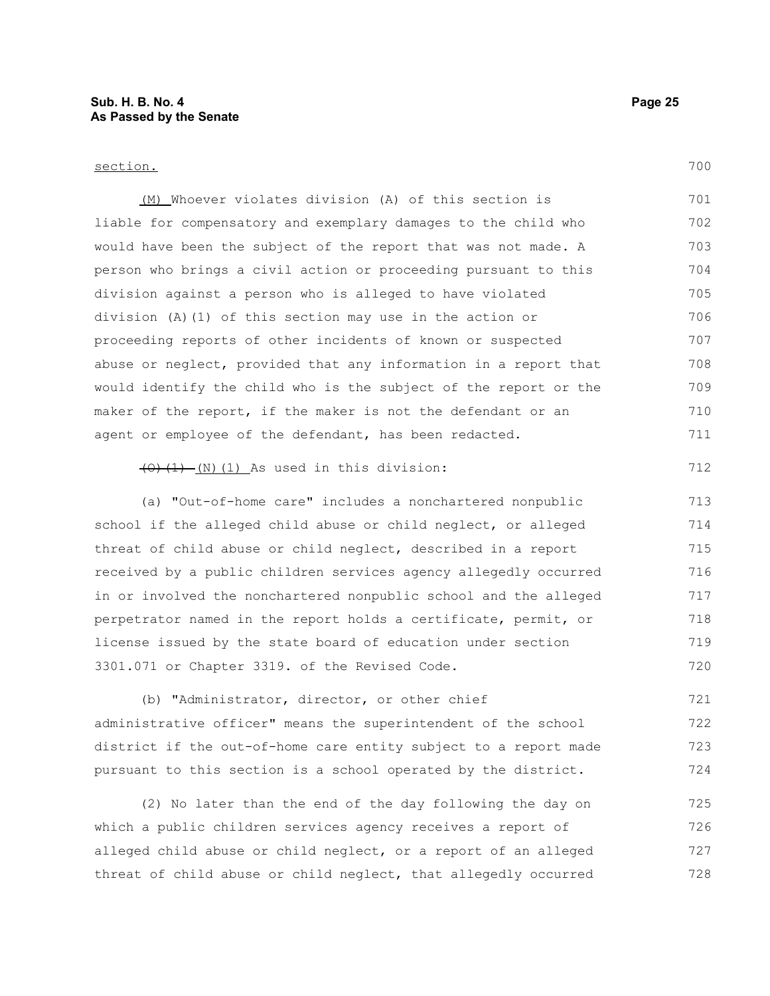#### section.

700

712

(M) Whoever violates division (A) of this section is liable for compensatory and exemplary damages to the child who would have been the subject of the report that was not made. A person who brings a civil action or proceeding pursuant to this division against a person who is alleged to have violated division (A)(1) of this section may use in the action or proceeding reports of other incidents of known or suspected abuse or neglect, provided that any information in a report that would identify the child who is the subject of the report or the maker of the report, if the maker is not the defendant or an agent or employee of the defendant, has been redacted. 701 702 703 704 705 706 707 708 709 710 711

#### $(0)(1)$  (N)(1) As used in this division:

(a) "Out-of-home care" includes a nonchartered nonpublic school if the alleged child abuse or child neglect, or alleged threat of child abuse or child neglect, described in a report received by a public children services agency allegedly occurred in or involved the nonchartered nonpublic school and the alleged perpetrator named in the report holds a certificate, permit, or license issued by the state board of education under section 3301.071 or Chapter 3319. of the Revised Code. 713 714 715 716 717 718 719 720

(b) "Administrator, director, or other chief administrative officer" means the superintendent of the school district if the out-of-home care entity subject to a report made pursuant to this section is a school operated by the district. 721 722 723 724

(2) No later than the end of the day following the day on which a public children services agency receives a report of alleged child abuse or child neglect, or a report of an alleged threat of child abuse or child neglect, that allegedly occurred 725 726 727 728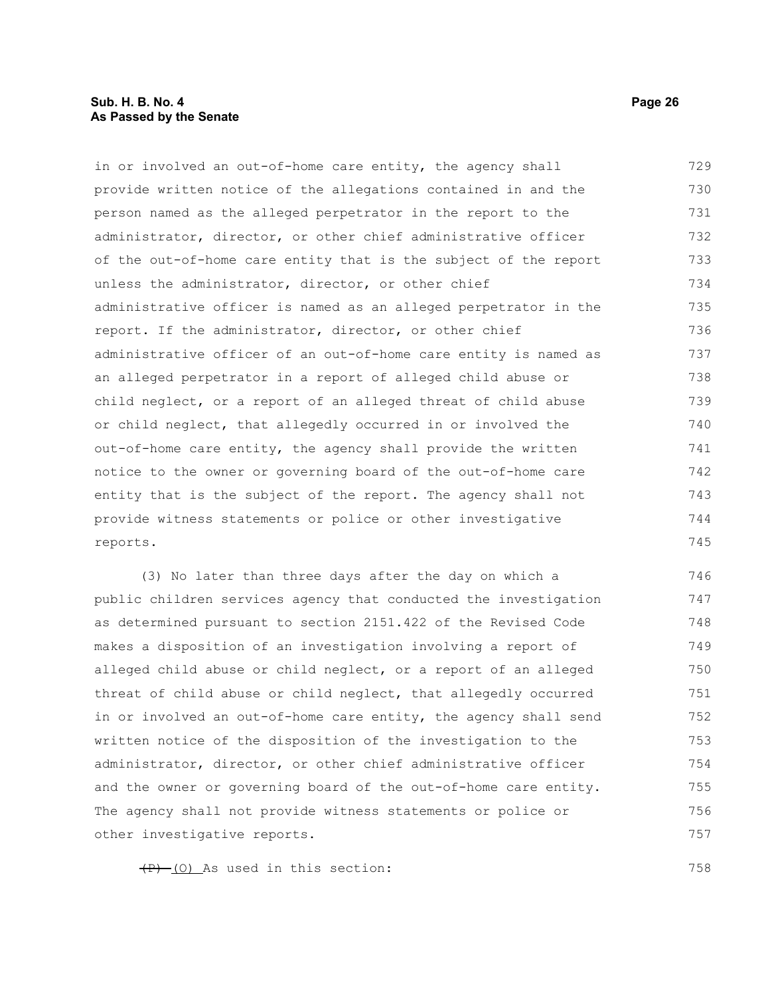#### **Sub. H. B. No. 4 Page 26 As Passed by the Senate**

in or involved an out-of-home care entity, the agency shall provide written notice of the allegations contained in and the person named as the alleged perpetrator in the report to the administrator, director, or other chief administrative officer of the out-of-home care entity that is the subject of the report unless the administrator, director, or other chief administrative officer is named as an alleged perpetrator in the report. If the administrator, director, or other chief administrative officer of an out-of-home care entity is named as an alleged perpetrator in a report of alleged child abuse or child neglect, or a report of an alleged threat of child abuse or child neglect, that allegedly occurred in or involved the out-of-home care entity, the agency shall provide the written notice to the owner or governing board of the out-of-home care entity that is the subject of the report. The agency shall not provide witness statements or police or other investigative reports. 729 730 731 732 733 734 735 736 737 738 739 740 741 742 743 744 745

(3) No later than three days after the day on which a public children services agency that conducted the investigation as determined pursuant to section 2151.422 of the Revised Code makes a disposition of an investigation involving a report of alleged child abuse or child neglect, or a report of an alleged threat of child abuse or child neglect, that allegedly occurred in or involved an out-of-home care entity, the agency shall send written notice of the disposition of the investigation to the administrator, director, or other chief administrative officer and the owner or governing board of the out-of-home care entity. The agency shall not provide witness statements or police or other investigative reports. 746 747 748 749 750 751 752 753 754 755 756 757

(P) (O) As used in this section: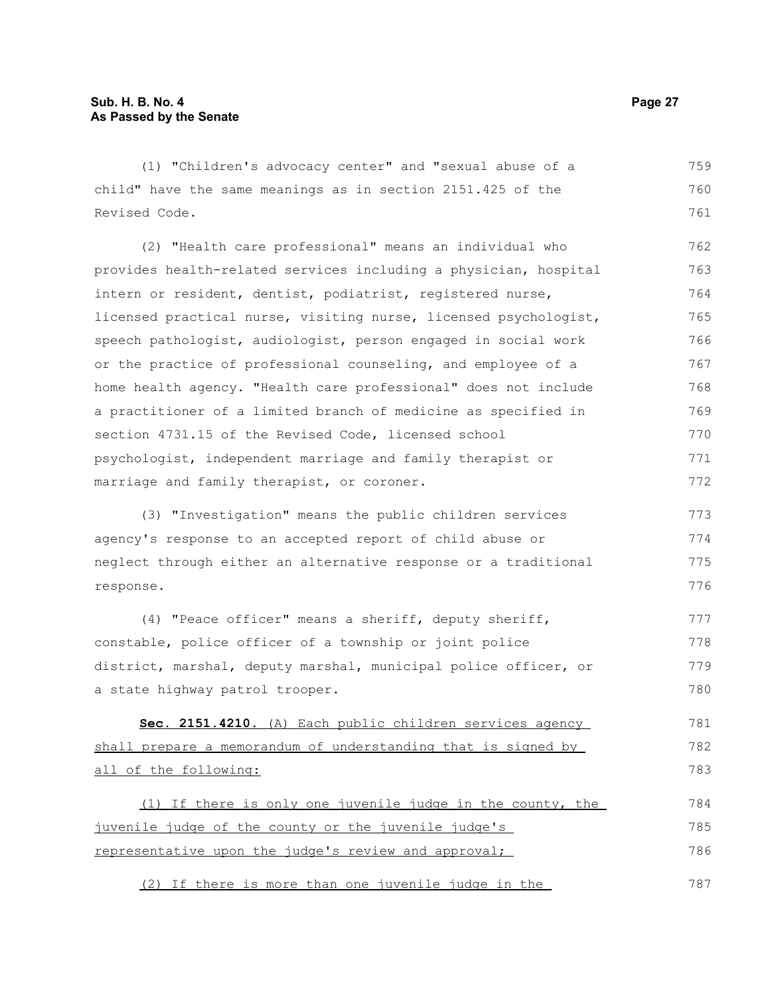(1) "Children's advocacy center" and "sexual abuse of a child" have the same meanings as in section 2151.425 of the Revised Code. 759 760 761

(2) "Health care professional" means an individual who provides health-related services including a physician, hospital intern or resident, dentist, podiatrist, registered nurse, licensed practical nurse, visiting nurse, licensed psychologist, speech pathologist, audiologist, person engaged in social work or the practice of professional counseling, and employee of a home health agency. "Health care professional" does not include a practitioner of a limited branch of medicine as specified in section 4731.15 of the Revised Code, licensed school psychologist, independent marriage and family therapist or marriage and family therapist, or coroner. 762 763 764 765 766 767 768 769 770 771 772

(3) "Investigation" means the public children services agency's response to an accepted report of child abuse or neglect through either an alternative response or a traditional response. 773 774 775 776

(4) "Peace officer" means a sheriff, deputy sheriff, constable, police officer of a township or joint police district, marshal, deputy marshal, municipal police officer, or a state highway patrol trooper. 777 778 779 780

 **Sec. 2151.4210.** (A) Each public children services agency shall prepare a memorandum of understanding that is signed by all of the following: 781 782 783

(1) If there is only one juvenile judge in the county, the juvenile judge of the county or the juvenile judge's representative upon the judge's review and approval; 784 785 786

(2) If there is more than one juvenile judge in the 787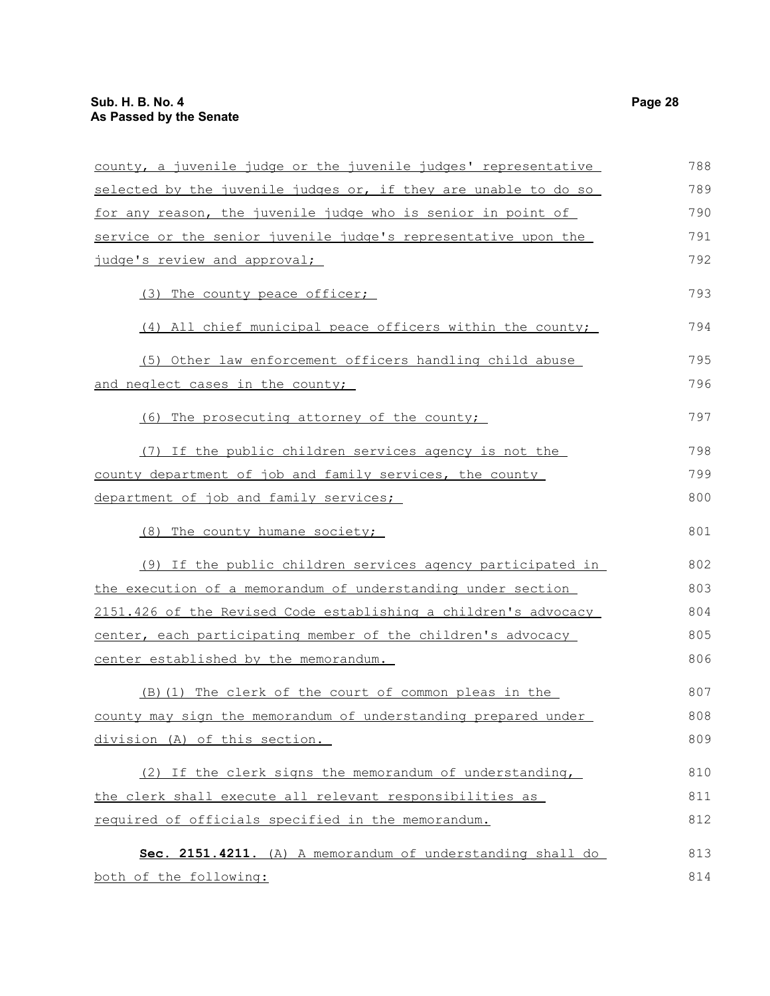| county, a juvenile judge or the juvenile judges' representative | 788 |
|-----------------------------------------------------------------|-----|
| selected by the juvenile judges or, if they are unable to do so | 789 |
| for any reason, the juvenile judge who is senior in point of    | 790 |
| service or the senior juvenile judge's representative upon the  | 791 |
| judge's review and approval;                                    | 792 |
| (3) The county peace officer;                                   | 793 |
| (4) All chief municipal peace officers within the county;       | 794 |
| (5) Other law enforcement officers handling child abuse         | 795 |
| and neglect cases in the county;                                | 796 |
| (6) The prosecuting attorney of the county;                     | 797 |
| (7) If the public children services agency is not the           | 798 |
| county department of job and family services, the county        | 799 |
| department of job and family services;                          | 800 |
| (8) The county humane society;                                  | 801 |
| (9) If the public children services agency participated in      | 802 |
| the execution of a memorandum of understanding under section    | 803 |
| 2151.426 of the Revised Code establishing a children's advocacy | 804 |
| center, each participating member of the children's advocacy    | 805 |
| center established by the memorandum.                           | 806 |
| (B) (1) The clerk of the court of common pleas in the           | 807 |
| county may sign the memorandum of understanding prepared under  | 808 |
| division (A) of this section.                                   | 809 |
| (2) If the clerk signs the memorandum of understanding,         | 810 |
| the clerk shall execute all relevant responsibilities as        | 811 |
| required of officials specified in the memorandum.              | 812 |
| Sec. 2151.4211. (A) A memorandum of understanding shall do      | 813 |
| both of the following:                                          | 814 |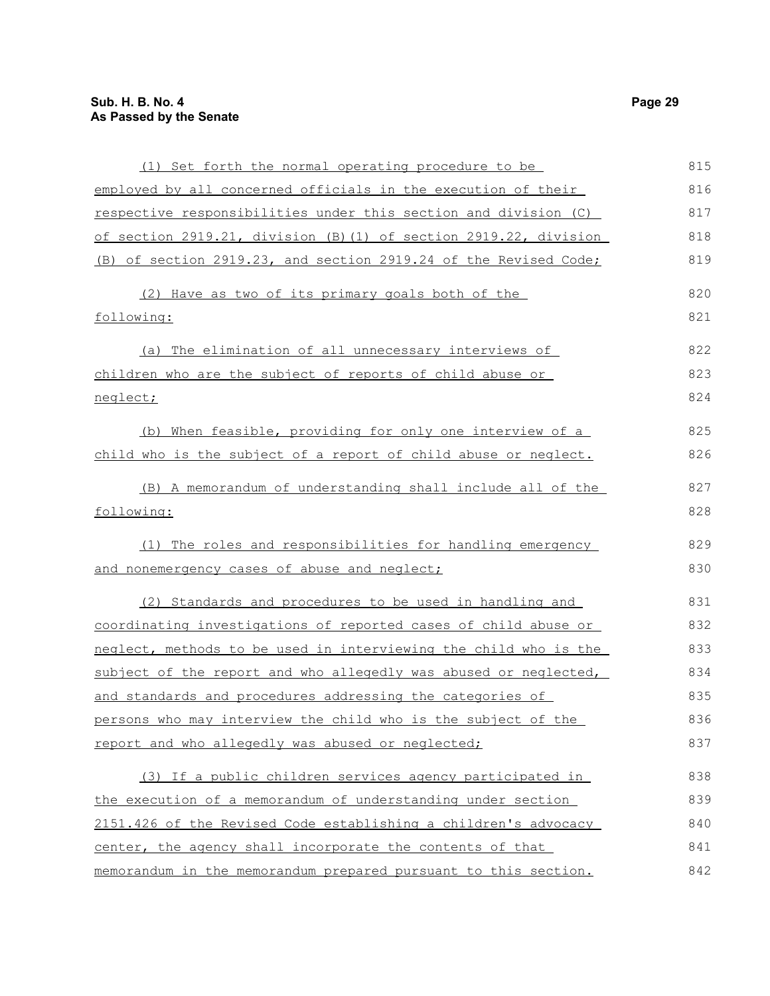| (1) Set forth the normal operating procedure to be                | 815 |
|-------------------------------------------------------------------|-----|
| employed by all concerned officials in the execution of their     | 816 |
| respective responsibilities under this section and division (C)   | 817 |
| of section 2919.21, division (B) (1) of section 2919.22, division | 818 |
| (B) of section 2919.23, and section 2919.24 of the Revised Code;  | 819 |
| (2) Have as two of its primary goals both of the                  | 820 |
| following:                                                        | 821 |
| (a) The elimination of all unnecessary interviews of              | 822 |
| children who are the subject of reports of child abuse or         | 823 |
| neglect;                                                          | 824 |
| (b) When feasible, providing for only one interview of a          | 825 |
| child who is the subject of a report of child abuse or neglect.   | 826 |
| (B) A memorandum of understanding shall include all of the        | 827 |
| following:                                                        | 828 |
| (1) The roles and responsibilities for handling emergency         | 829 |
| and nonemergency cases of abuse and neglect;                      | 830 |
| (2) Standards and procedures to be used in handling and           | 831 |
| coordinating investigations of reported cases of child abuse or   | 832 |
| neglect, methods to be used in interviewing the child who is the  | 833 |
| subject of the report and who allegedly was abused or neglected,  | 834 |
| and standards and procedures addressing the categories of         | 835 |
| persons who may interview the child who is the subject of the     | 836 |
| report and who allegedly was abused or neglected;                 | 837 |
| (3) If a public children services agency participated in          | 838 |
| the execution of a memorandum of understanding under section      | 839 |
| 2151.426 of the Revised Code establishing a children's advocacy   | 840 |
| center, the agency shall incorporate the contents of that         | 841 |
| memorandum in the memorandum prepared pursuant to this section.   | 842 |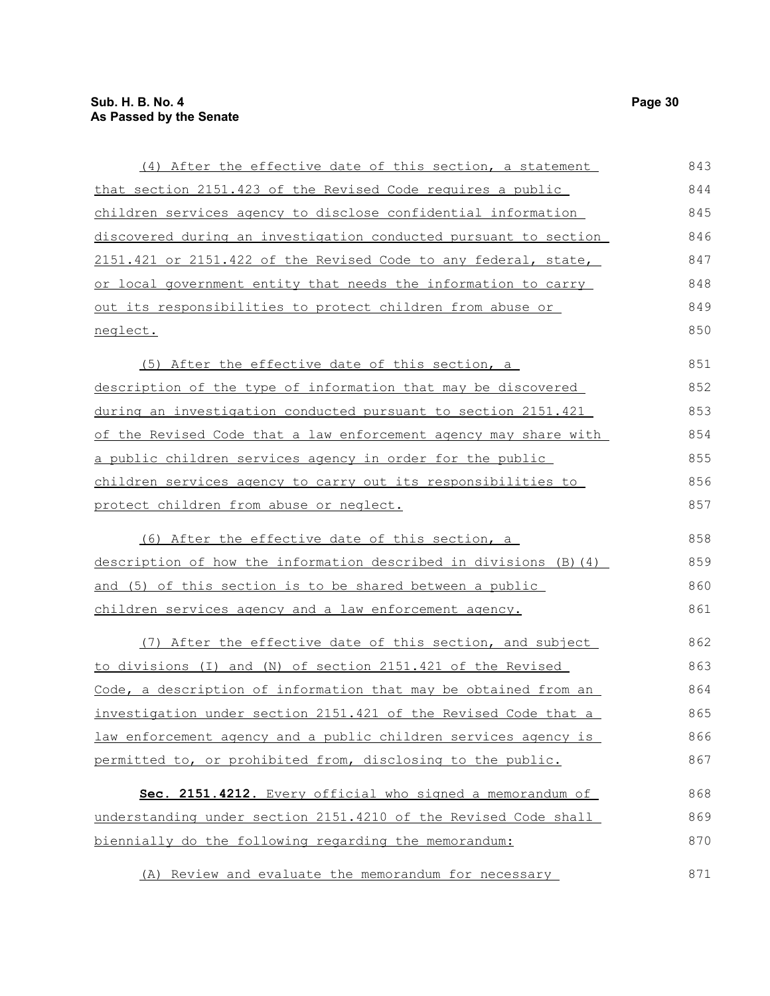| (4) After the effective date of this section, a statement        | 843 |
|------------------------------------------------------------------|-----|
| that section 2151.423 of the Revised Code requires a public      | 844 |
| children services agency to disclose confidential information    | 845 |
| discovered during an investigation conducted pursuant to section | 846 |
| 2151.421 or 2151.422 of the Revised Code to any federal, state,  | 847 |
| or local government entity that needs the information to carry   | 848 |
| out its responsibilities to protect children from abuse or       | 849 |
| neglect.                                                         | 850 |
| (5) After the effective date of this section, a                  | 851 |
| description of the type of information that may be discovered    | 852 |
| during an investigation conducted pursuant to section 2151.421   | 853 |
| of the Revised Code that a law enforcement agency may share with | 854 |
| a public children services agency in order for the public        | 855 |
| children services agency to carry out its responsibilities to    | 856 |
| protect children from abuse or neglect.                          | 857 |
| (6) After the effective date of this section, a                  | 858 |
| description of how the information described in divisions (B)(4) | 859 |
| and (5) of this section is to be shared between a public         | 860 |
| children services agency and a law enforcement agency.           | 861 |
| (7) After the effective date of this section, and subject        | 862 |
| to divisions (I) and (N) of section 2151.421 of the Revised      | 863 |
| Code, a description of information that may be obtained from an  | 864 |
| investigation under section 2151.421 of the Revised Code that a  | 865 |
| law enforcement agency and a public children services agency is  | 866 |
| permitted to, or prohibited from, disclosing to the public.      | 867 |
| Sec. 2151.4212. Every official who signed a memorandum of        | 868 |
| understanding under section 2151.4210 of the Revised Code shall  | 869 |
| biennially do the following regarding the memorandum:            | 870 |
| (A) Review and evaluate the memorandum for necessary             | 871 |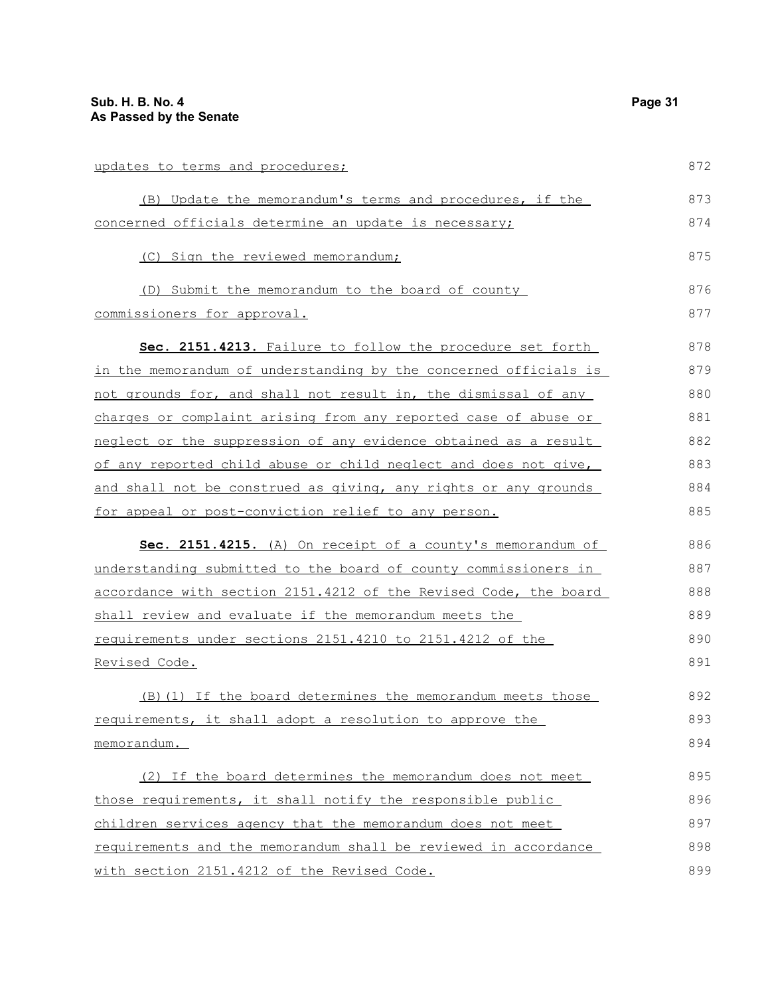| updates to terms and procedures;                                         | 872 |
|--------------------------------------------------------------------------|-----|
| (B) Update the memorandum's terms and procedures, if the                 | 873 |
| concerned officials determine an update is necessary;                    | 874 |
| (C) Sign the reviewed memorandum;                                        | 875 |
| (D) Submit the memorandum to the board of county                         | 876 |
| commissioners for approval.                                              | 877 |
| Sec. 2151.4213. Failure to follow the procedure set forth                | 878 |
| in the memorandum of understanding by the concerned officials is         | 879 |
| <u>not grounds for, and shall not result in, the dismissal of any </u>   | 880 |
| charges or complaint arising from any reported case of abuse or          | 881 |
| neglect or the suppression of any evidence obtained as a result          | 882 |
| of any reported child abuse or child neglect and does not give,          | 883 |
| and shall not be construed as giving, any rights or any grounds          | 884 |
| for appeal or post-conviction relief to any person.                      | 885 |
| Sec. 2151.4215. (A) On receipt of a county's memorandum of               | 886 |
| understanding submitted to the board of county commissioners in          | 887 |
| <u>accordance with section 2151.4212 of the Revised Code, the board </u> | 888 |
| shall review and evaluate if the memorandum meets the                    | 889 |
| <u>requirements under sections 2151.4210 to 2151.4212 of the</u>         | 890 |
| <u>Revised Code.</u>                                                     | 891 |
| (B) (1) If the board determines the memorandum meets those               | 892 |
| requirements, it shall adopt a resolution to approve the                 | 893 |
| memorandum.                                                              | 894 |
| (2) If the board determines the memorandum does not meet                 | 895 |
| those requirements, it shall notify the responsible public               | 896 |
| children services agency that the memorandum does not meet               | 897 |
|                                                                          |     |

requirements and the memorandum shall be reviewed in accordance with section 2151.4212 of the Revised Code. 898 899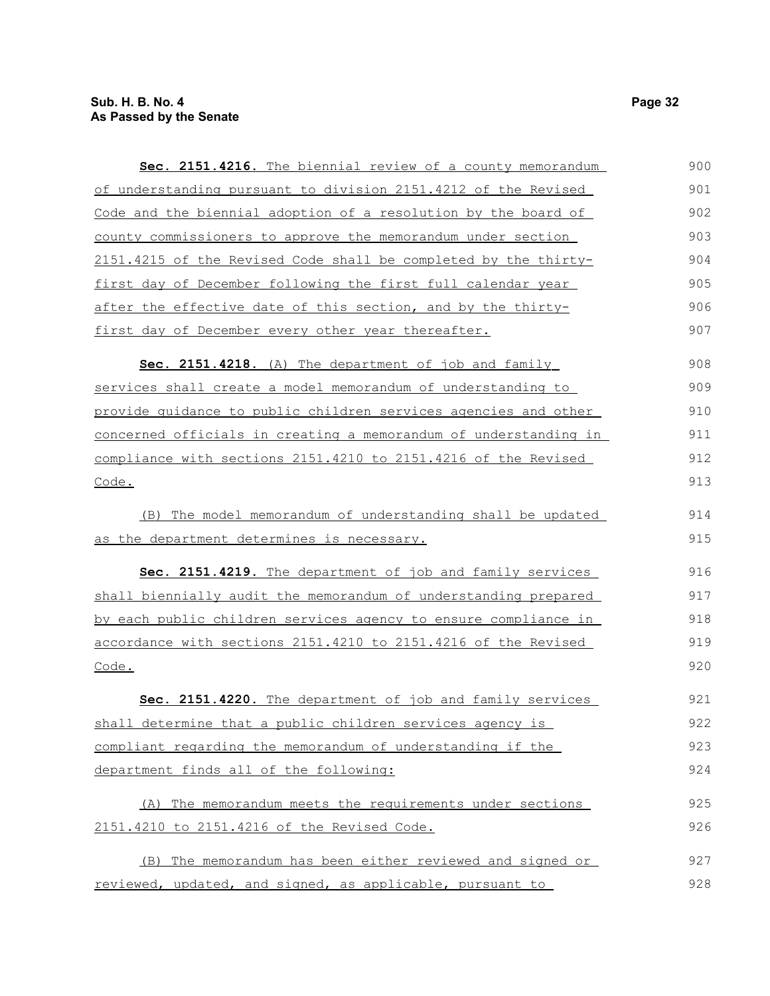| Sec. 2151.4216. The biennial review of a county memorandum       | 900 |
|------------------------------------------------------------------|-----|
| of understanding pursuant to division 2151.4212 of the Revised   | 901 |
| Code and the biennial adoption of a resolution by the board of   | 902 |
| county commissioners to approve the memorandum under section     | 903 |
| 2151.4215 of the Revised Code shall be completed by the thirty-  | 904 |
| first day of December following the first full calendar year     | 905 |
| after the effective date of this section, and by the thirty-     | 906 |
| first day of December every other year thereafter.               | 907 |
| Sec. 2151.4218. (A) The department of job and family             | 908 |
| services shall create a model memorandum of understanding to     | 909 |
| provide quidance to public children services agencies and other  | 910 |
| concerned officials in creating a memorandum of understanding in | 911 |
| compliance with sections 2151.4210 to 2151.4216 of the Revised   | 912 |
| Code.                                                            | 913 |
| (B) The model memorandum of understanding shall be updated       | 914 |
| as the department determines is necessary.                       | 915 |
| Sec. 2151.4219. The department of job and family services        | 916 |
| shall biennially audit the memorandum of understanding prepared  | 917 |
| by each public children services agency to ensure compliance in  | 918 |
| accordance with sections 2151.4210 to 2151.4216 of the Revised   | 919 |
| Code.                                                            | 920 |
| Sec. 2151.4220. The department of job and family services        | 921 |
| shall determine that a public children services agency is        | 922 |
| compliant regarding the memorandum of understanding if the       | 923 |
| department finds all of the following:                           | 924 |
| The memorandum meets the requirements under sections<br>(A)      | 925 |
| 2151.4210 to 2151.4216 of the Revised Code.                      | 926 |
| (B) The memorandum has been either reviewed and signed or        | 927 |
| reviewed, updated, and signed, as applicable, pursuant to        | 928 |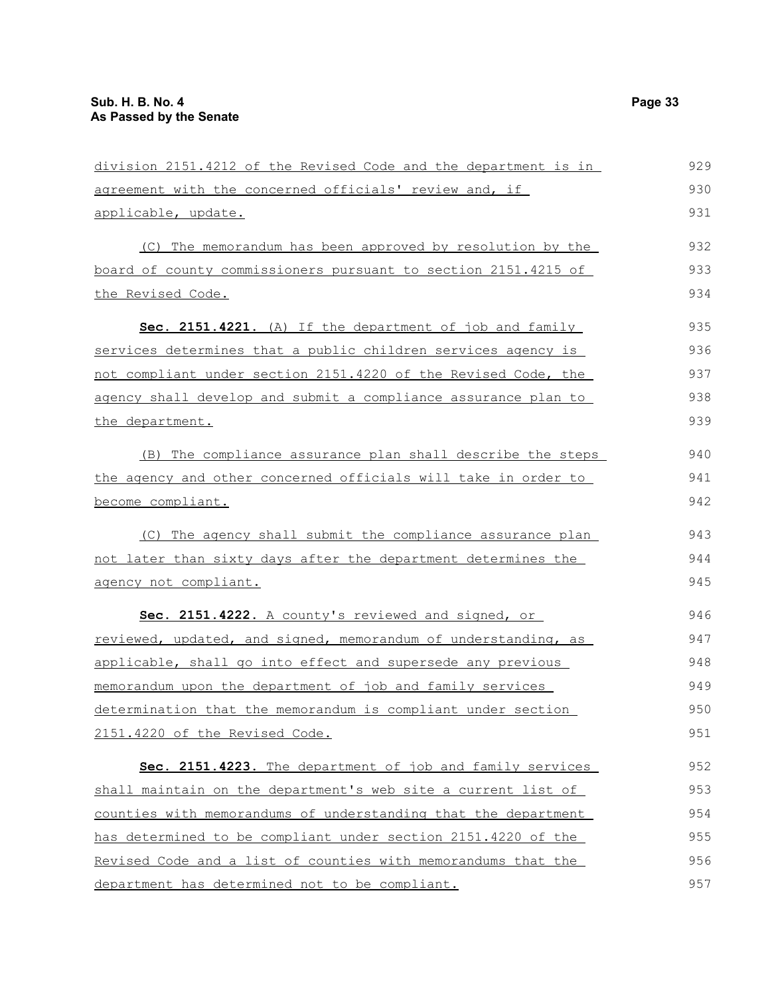| division 2151.4212 of the Revised Code and the department is in | 929 |
|-----------------------------------------------------------------|-----|
| agreement with the concerned officials' review and, if          | 930 |
| applicable, update.                                             | 931 |
| (C) The memorandum has been approved by resolution by the       | 932 |
| board of county commissioners pursuant to section 2151.4215 of  | 933 |
| <u>the Revised Code.</u>                                        | 934 |
| Sec. 2151.4221. (A) If the department of job and family         | 935 |
| services determines that a public children services agency is   | 936 |
| not compliant under section 2151.4220 of the Revised Code, the  | 937 |
| agency shall develop and submit a compliance assurance plan to  | 938 |
| the department.                                                 | 939 |
| (B) The compliance assurance plan shall describe the steps      | 940 |
| the agency and other concerned officials will take in order to  | 941 |
| become compliant.                                               | 942 |
| (C) The agency shall submit the compliance assurance plan       | 943 |
| not later than sixty days after the department determines the   | 944 |
| agency not compliant.                                           | 945 |
| Sec. 2151.4222. A county's reviewed and signed, or              | 946 |
| reviewed, updated, and signed, memorandum of understanding, as  | 947 |
| applicable, shall go into effect and supersede any previous     | 948 |
| memorandum upon the department of job and family services       | 949 |
| determination that the memorandum is compliant under section    | 950 |
| 2151.4220 of the Revised Code.                                  | 951 |
| Sec. 2151.4223. The department of job and family services       | 952 |
| shall maintain on the department's web site a current list of   | 953 |
| counties with memorandums of understanding that the department  | 954 |
| has determined to be compliant under section 2151.4220 of the   | 955 |
| Revised Code and a list of counties with memorandums that the   | 956 |
| department has determined not to be compliant.                  | 957 |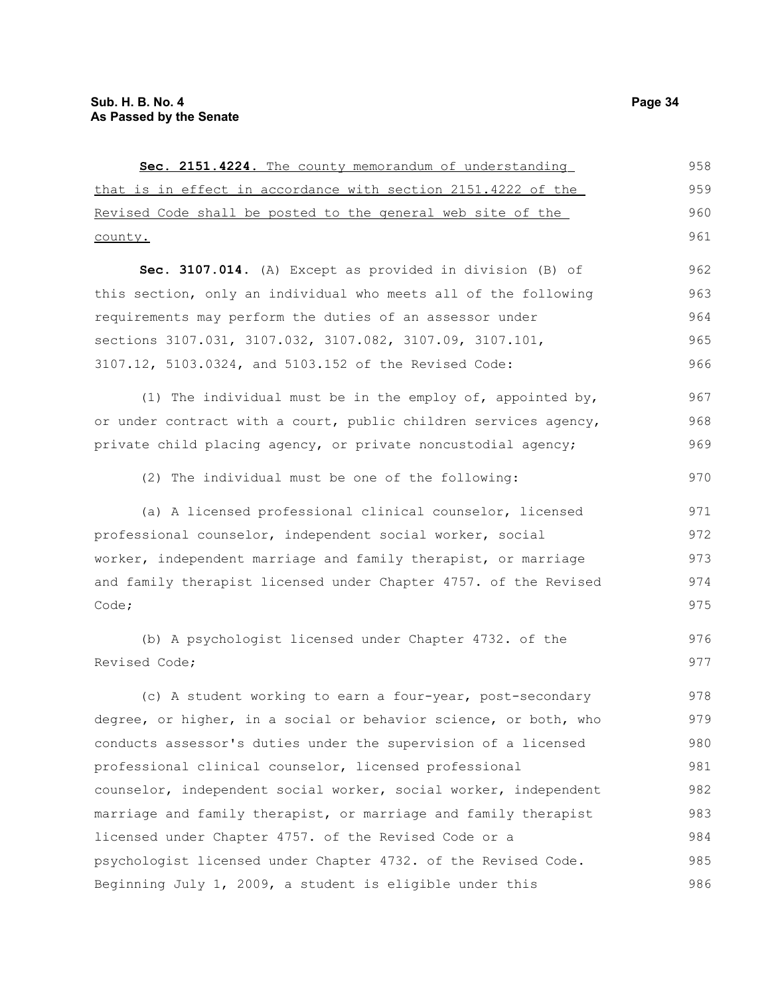| Sec. 2151.4224. The county memorandum of understanding           | 958 |
|------------------------------------------------------------------|-----|
| that is in effect in accordance with section 2151.4222 of the    | 959 |
| Revised Code shall be posted to the general web site of the      | 960 |
| county.                                                          | 961 |
| Sec. 3107.014. (A) Except as provided in division (B) of         | 962 |
| this section, only an individual who meets all of the following  | 963 |
| requirements may perform the duties of an assessor under         | 964 |
| sections 3107.031, 3107.032, 3107.082, 3107.09, 3107.101,        | 965 |
| 3107.12, 5103.0324, and 5103.152 of the Revised Code:            | 966 |
| (1) The individual must be in the employ of, appointed by,       | 967 |
| or under contract with a court, public children services agency, | 968 |
| private child placing agency, or private noncustodial agency;    | 969 |
| (2) The individual must be one of the following:                 | 970 |
| (a) A licensed professional clinical counselor, licensed         | 971 |
| professional counselor, independent social worker, social        | 972 |
| worker, independent marriage and family therapist, or marriage   | 973 |
| and family therapist licensed under Chapter 4757. of the Revised | 974 |
| Code;                                                            | 975 |
| (b) A psychologist licensed under Chapter 4732. of the           | 976 |
| Revised Code;                                                    | 977 |
| (c) A student working to earn a four-year, post-secondary        | 978 |
| degree, or higher, in a social or behavior science, or both, who | 979 |
| conducts assessor's duties under the supervision of a licensed   | 980 |
| professional clinical counselor, licensed professional           | 981 |
| counselor, independent social worker, social worker, independent | 982 |
| marriage and family therapist, or marriage and family therapist  | 983 |
| licensed under Chapter 4757. of the Revised Code or a            | 984 |
| psychologist licensed under Chapter 4732. of the Revised Code.   | 985 |
| Beginning July 1, 2009, a student is eligible under this         | 986 |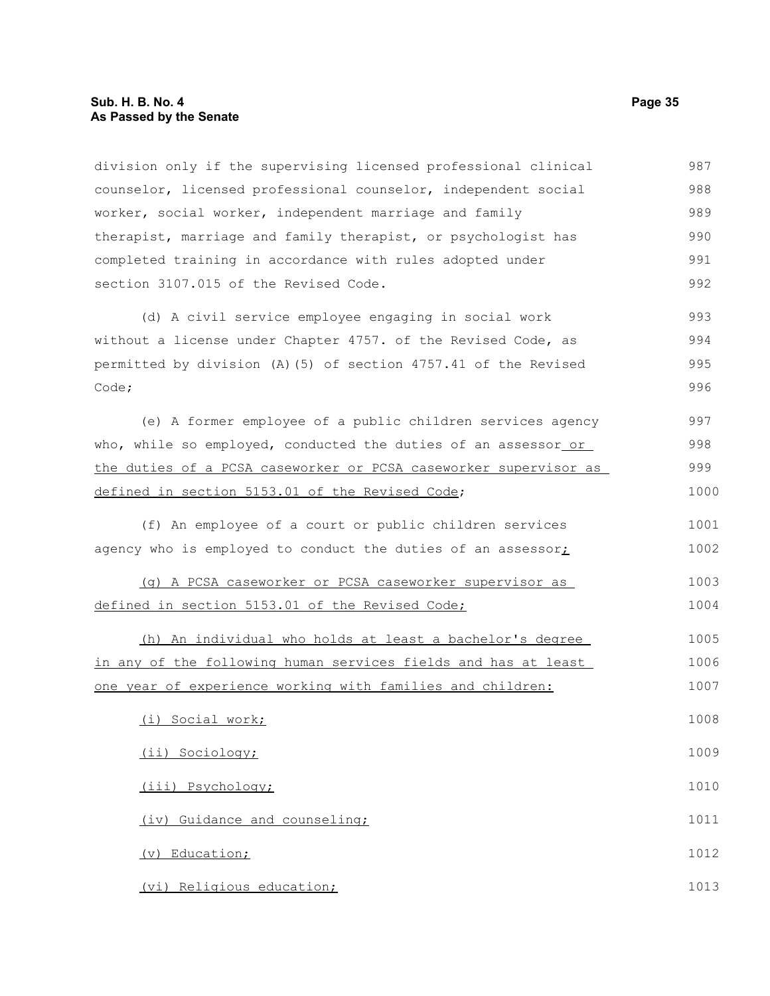division only if the supervising licensed professional clinical counselor, licensed professional counselor, independent social worker, social worker, independent marriage and family therapist, marriage and family therapist, or psychologist has completed training in accordance with rules adopted under section 3107.015 of the Revised Code. 987 988 989 990 991 992

(d) A civil service employee engaging in social work without a license under Chapter 4757. of the Revised Code, as permitted by division (A)(5) of section 4757.41 of the Revised Code; 993 994 995 996

(e) A former employee of a public children services agency who, while so employed, conducted the duties of an assessor or the duties of a PCSA caseworker or PCSA caseworker supervisor as defined in section 5153.01 of the Revised Code; 997 998 999 1000

(f) An employee of a court or public children services agency who is employed to conduct the duties of an assessor; 1001 1002

(g) A PCSA caseworker or PCSA caseworker supervisor as defined in section 5153.01 of the Revised Code; 1003 1004

| (h) An individual who holds at least a bachelor's degree       | 1005 |
|----------------------------------------------------------------|------|
| in any of the following human services fields and has at least | 1006 |
| one year of experience working with families and children:     | 1007 |

(i) Social work; (ii) Sociology; (iii) Psychology; (iv) Guidance and counseling; (v) Education; (vi) Religious education; 1008 1009 1010 1011 1012 1013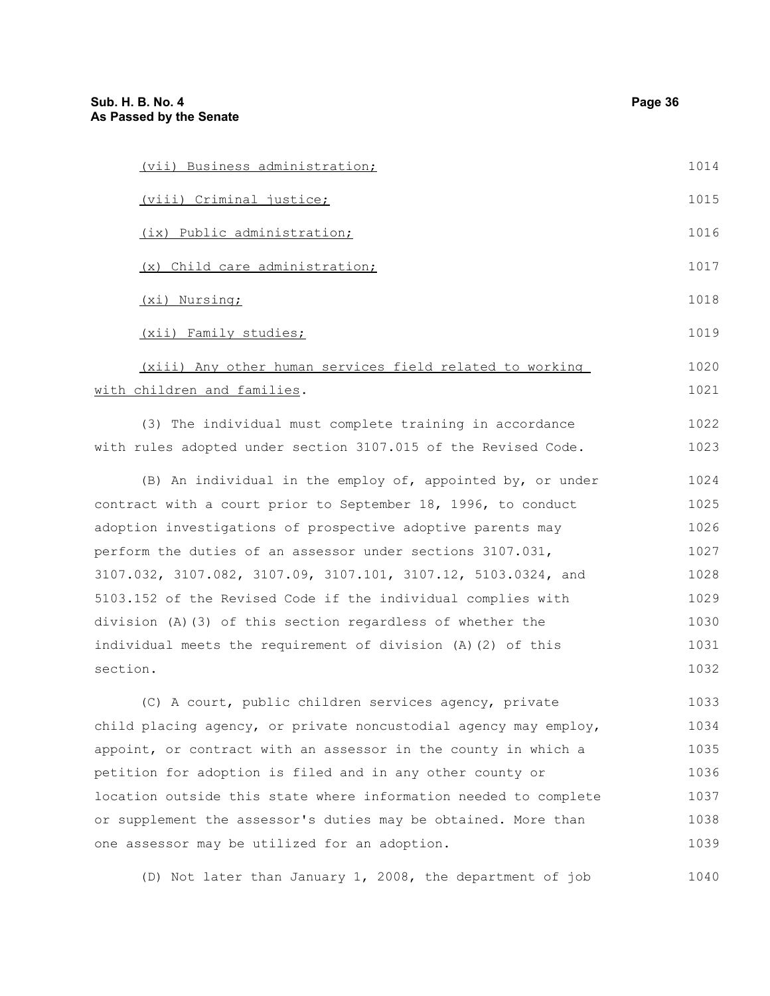| (vii) Business administration;                                   | 1014 |
|------------------------------------------------------------------|------|
| (viii) Criminal justice;                                         | 1015 |
| (ix) Public administration;                                      | 1016 |
| (x) Child care administration;                                   | 1017 |
| (xi) Nursing;                                                    | 1018 |
| (xii) Family studies;                                            | 1019 |
| (xiii) Any other human services field related to working         | 1020 |
| with children and families.                                      | 1021 |
| (3) The individual must complete training in accordance          | 1022 |
| with rules adopted under section 3107.015 of the Revised Code.   | 1023 |
| (B) An individual in the employ of, appointed by, or under       | 1024 |
| contract with a court prior to September 18, 1996, to conduct    | 1025 |
| adoption investigations of prospective adoptive parents may      | 1026 |
| perform the duties of an assessor under sections 3107.031,       | 1027 |
| 3107.032, 3107.082, 3107.09, 3107.101, 3107.12, 5103.0324, and   | 1028 |
| 5103.152 of the Revised Code if the individual complies with     | 1029 |
| division (A)(3) of this section regardless of whether the        | 1030 |
| individual meets the requirement of division (A) (2) of this     | 1031 |
| section.                                                         | 1032 |
| (C) A court, public children services agency, private            | 1033 |
| child placing agency, or private noncustodial agency may employ, | 1034 |
| appoint, or contract with an assessor in the county in which a   | 1035 |
| petition for adoption is filed and in any other county or        | 1036 |
| location outside this state where information needed to complete | 1037 |
| or supplement the assessor's duties may be obtained. More than   | 1038 |

(D) Not later than January 1, 2008, the department of job 1040

one assessor may be utilized for an adoption.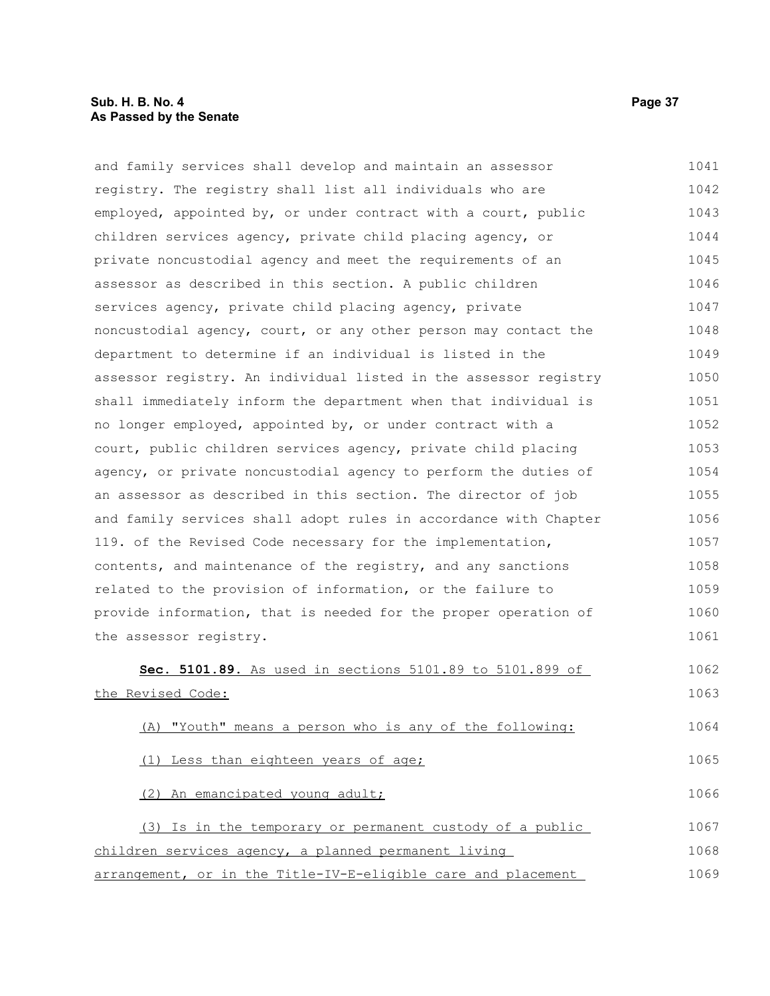## **Sub. H. B. No. 4** Page 37 **As Passed by the Senate**

| and family services shall develop and maintain an assessor       | 1041 |
|------------------------------------------------------------------|------|
| registry. The registry shall list all individuals who are        | 1042 |
| employed, appointed by, or under contract with a court, public   | 1043 |
| children services agency, private child placing agency, or       | 1044 |
| private noncustodial agency and meet the requirements of an      | 1045 |
| assessor as described in this section. A public children         | 1046 |
| services agency, private child placing agency, private           | 1047 |
| noncustodial agency, court, or any other person may contact the  | 1048 |
| department to determine if an individual is listed in the        | 1049 |
| assessor registry. An individual listed in the assessor registry | 1050 |
| shall immediately inform the department when that individual is  | 1051 |
| no longer employed, appointed by, or under contract with a       | 1052 |
| court, public children services agency, private child placing    | 1053 |
| agency, or private noncustodial agency to perform the duties of  | 1054 |
| an assessor as described in this section. The director of job    | 1055 |
| and family services shall adopt rules in accordance with Chapter | 1056 |
| 119. of the Revised Code necessary for the implementation,       | 1057 |
| contents, and maintenance of the registry, and any sanctions     | 1058 |
| related to the provision of information, or the failure to       | 1059 |
| provide information, that is needed for the proper operation of  | 1060 |
| the assessor registry.                                           | 1061 |
| Sec. 5101.89. As used in sections 5101.89 to 5101.899 of         | 1062 |
| the Revised Code:                                                | 1063 |
| (A) "Youth" means a person who is any of the following:          | 1064 |
| (1) Less than eighteen years of age;                             | 1065 |
| (2) An emancipated young adult;                                  | 1066 |
| (3) Is in the temporary or permanent custody of a public         | 1067 |
| children services agency, a planned permanent living             | 1068 |
| arrangement, or in the Title-IV-E-eligible care and placement    | 1069 |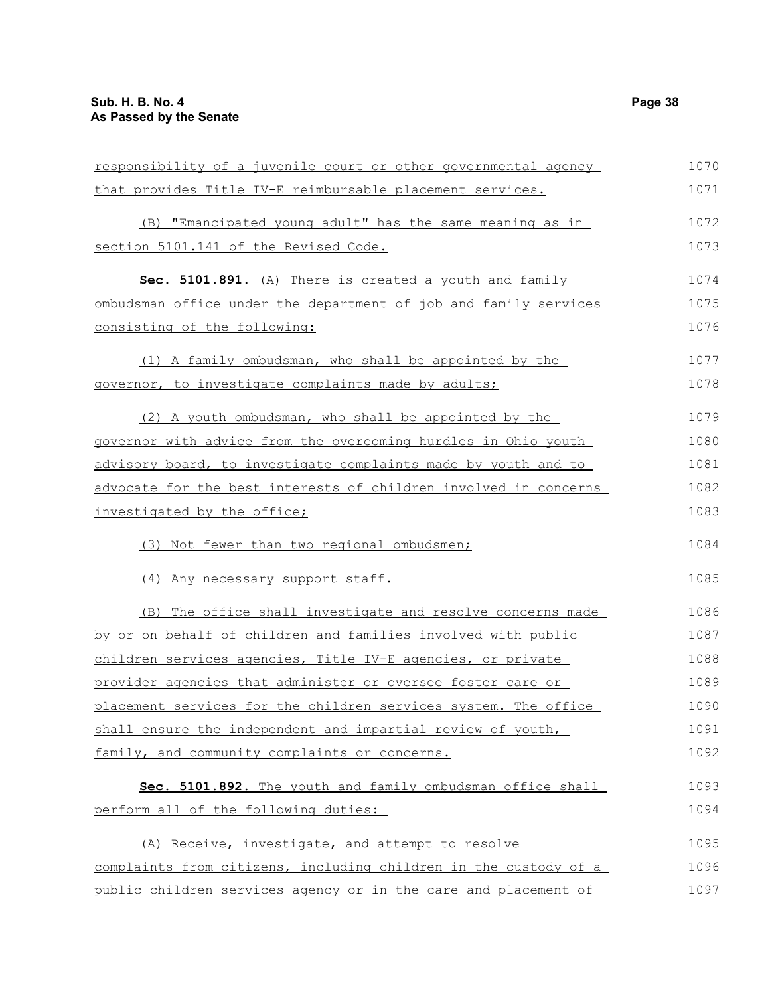| responsibility of a juvenile court or other governmental agency  | 1070 |
|------------------------------------------------------------------|------|
| that provides Title IV-E reimbursable placement services.        | 1071 |
| (B) "Emancipated young adult" has the same meaning as in         | 1072 |
| section 5101.141 of the Revised Code.                            | 1073 |
| Sec. 5101.891. (A) There is created a youth and family           | 1074 |
| ombudsman office under the department of job and family services | 1075 |
| consisting of the following:                                     | 1076 |
| (1) A family ombudsman, who shall be appointed by the            | 1077 |
| governor, to investigate complaints made by adults;              | 1078 |
| (2) A youth ombudsman, who shall be appointed by the             | 1079 |
| governor with advice from the overcoming hurdles in Ohio youth   | 1080 |
| advisory board, to investigate complaints made by youth and to   | 1081 |
| advocate for the best interests of children involved in concerns | 1082 |
| investigated by the office;                                      | 1083 |
| (3) Not fewer than two regional ombudsmen;                       | 1084 |
| (4) Any necessary support staff.                                 | 1085 |
| (B) The office shall investigate and resolve concerns made       | 1086 |
| by or on behalf of children and families involved with public    | 1087 |
| children services agencies, Title IV-E agencies, or private      | 1088 |
| provider agencies that administer or oversee foster care or      | 1089 |
| placement services for the children services system. The office  | 1090 |
| shall ensure the independent and impartial review of youth,      | 1091 |
| family, and community complaints or concerns.                    | 1092 |
| Sec. 5101.892. The youth and family ombudsman office shall       | 1093 |
| perform all of the following duties:                             | 1094 |
| (A) Receive, investigate, and attempt to resolve                 | 1095 |
| complaints from citizens, including children in the custody of a | 1096 |
| public children services agency or in the care and placement of  | 1097 |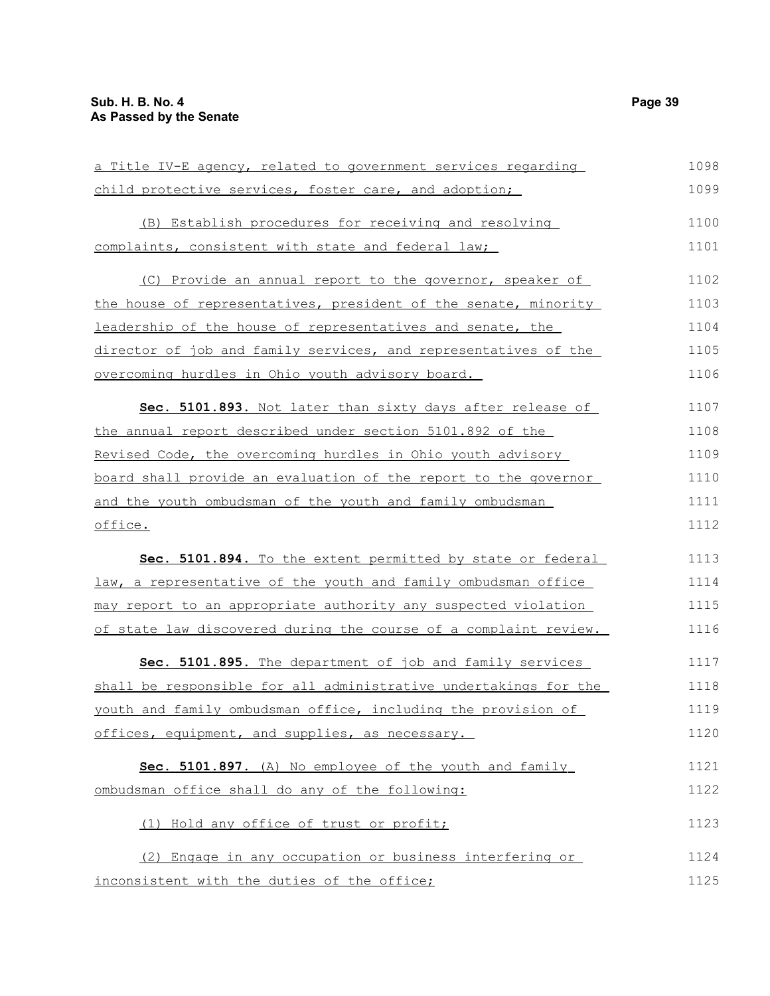| a Title IV-E agency, related to government services regarding    | 1098 |
|------------------------------------------------------------------|------|
| child protective services, foster care, and adoption;            | 1099 |
| (B) Establish procedures for receiving and resolving             | 1100 |
| complaints, consistent with state and federal law;               | 1101 |
| (C) Provide an annual report to the governor, speaker of         | 1102 |
| the house of representatives, president of the senate, minority  | 1103 |
| leadership of the house of representatives and senate, the       | 1104 |
| director of job and family services, and representatives of the  | 1105 |
| overcoming hurdles in Ohio youth advisory board.                 | 1106 |
| Sec. 5101.893. Not later than sixty days after release of        | 1107 |
| the annual report described under section 5101.892 of the        | 1108 |
| Revised Code, the overcoming hurdles in Ohio youth advisory      | 1109 |
| board shall provide an evaluation of the report to the governor  | 1110 |
| and the youth ombudsman of the youth and family ombudsman        | 1111 |
| office.                                                          | 1112 |
| Sec. 5101.894. To the extent permitted by state or federal       | 1113 |
| law, a representative of the youth and family ombudsman office   | 1114 |
| may report to an appropriate authority any suspected violation   | 1115 |
| of state law discovered during the course of a complaint review. | 1116 |
| Sec. 5101.895. The department of job and family services         | 1117 |
| shall be responsible for all administrative undertakings for the | 1118 |
| youth and family ombudsman office, including the provision of    | 1119 |
| offices, equipment, and supplies, as necessary.                  | 1120 |
| Sec. 5101.897. (A) No employee of the youth and family           | 1121 |
| ombudsman office shall do any of the following:                  | 1122 |
| (1) Hold any office of trust or profit;                          | 1123 |
| (2) Engage in any occupation or business interfering or          | 1124 |
| inconsistent with the duties of the office;                      | 1125 |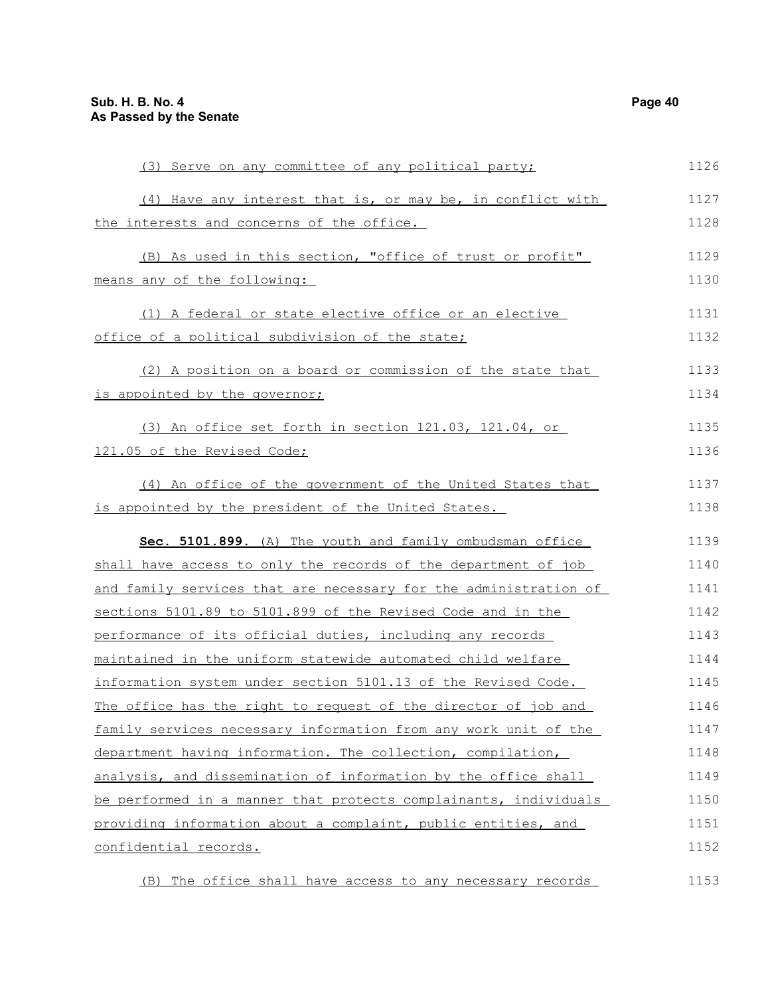| (3) Serve on any committee of any political party;               | 1126 |
|------------------------------------------------------------------|------|
| (4) Have any interest that is, or may be, in conflict with       | 1127 |
| the interests and concerns of the office.                        | 1128 |
| (B) As used in this section, "office of trust or profit"         | 1129 |
| means any of the following:                                      | 1130 |
| (1) A federal or state elective office or an elective            | 1131 |
| office of a political subdivision of the state;                  | 1132 |
| (2) A position on a board or commission of the state that        | 1133 |
| is appointed by the governor;                                    | 1134 |
| (3) An office set forth in section 121.03, 121.04, or            | 1135 |
| 121.05 of the Revised Code;                                      | 1136 |
| (4) An office of the government of the United States that        | 1137 |
| is appointed by the president of the United States.              | 1138 |
| Sec. 5101.899. (A) The youth and family ombudsman office         | 1139 |
| shall have access to only the records of the department of job   | 1140 |
| and family services that are necessary for the administration of | 1141 |
| sections 5101.89 to 5101.899 of the Revised Code and in the      | 1142 |
| performance of its official duties, including any records        | 1143 |
| maintained in the uniform statewide automated child welfare      | 1144 |
| information system under section 5101.13 of the Revised Code.    | 1145 |
| The office has the right to request of the director of job and   | 1146 |
| family services necessary information from any work unit of the  | 1147 |
| department having information. The collection, compilation,      | 1148 |
| analysis, and dissemination of information by the office shall   | 1149 |
| be performed in a manner that protects complainants, individuals | 1150 |
| providing information about a complaint, public entities, and    | 1151 |
| confidential records.                                            | 1152 |
|                                                                  |      |

(B) The office shall have access to any necessary records 1153